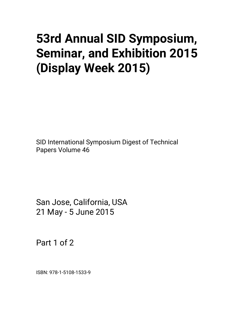# **53rd Annual SID Symposium, Seminar, and Exhibition 2015 (Display Week 2015)**

SID International Symposium Digest of Technical Papers Volume 46

San Jose, California, USA 21 May - 5 June 2015

Part 1 of 2

ISBN: 978-1-5108-1533-9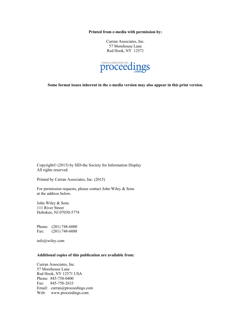**Printed from e-media with permission by:** 

Curran Associates, Inc. 57 Morehouse Lane Red Hook, NY 12571



**Some format issues inherent in the e-media version may also appear in this print version.** 

Copyright© (2015) by SID-the Society for Information Display All rights reserved.

Printed by Curran Associates, Inc. (2015)

For permission requests, please contact John Wiley & Sons at the address below.

John Wiley & Sons 111 River Street Hoboken, NJ 07030-5774

Phone: (201) 748-6000 Fax: (201) 748-6088

info@wiley.com

# **Additional copies of this publication are available from:**

Curran Associates, Inc. 57 Morehouse Lane Red Hook, NY 12571 USA Phone: 845-758-0400 Fax: 845-758-2633 Email: curran@proceedings.com Web: www.proceedings.com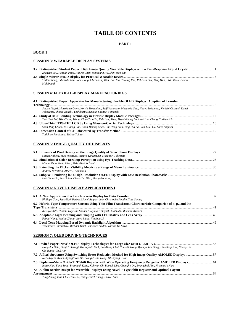# **TABLE OF CONTENTS**

# **PART 1**

# **BOOK 1**

# **SESSION 3: WEARABLE DISPLAY SYSTEMS**

| Zhenyue Lou, Fenglin Peng, Haiwei Chen, Minggang Hu, Shin-Tson Wu                                                    |  |
|----------------------------------------------------------------------------------------------------------------------|--|
|                                                                                                                      |  |
| Tallis Chang, Edward Chan, John Hong, Cheonhong Kim, Jian Ma, Yaoling Pan, Rob Van Lier, Bing Wen, Lixia Zhou, Pavan |  |
| Mulabagal                                                                                                            |  |

# **SESSION 4: FLEXIBLE-DISPLAY MANUFACTURINGS**

| 4.1: Distinguished Paper: Apparatus for Manufacturing Flexible OLED Displays: Adoption of Transfer                                                                                       |  |
|------------------------------------------------------------------------------------------------------------------------------------------------------------------------------------------|--|
|                                                                                                                                                                                          |  |
| Satoru Idojiri, Masakatsu Ohno, Koichi Takeshima, Seiji Yasumoto, Masataka Sato, Naoya Sakamoto, Kenichi Okazaki, Kohei<br>Yokoyama, Shingo Eguchi, Yoshiharu Hirakata, Shunpei Yamazaki |  |
|                                                                                                                                                                                          |  |
| Yen-Huei Lai, Wan-Tsang Wang, Chia-Hsun Tu, Keh-Long Hwu, Hsueh-Hsing Lu, Lee-Hsun Chang, Yu-Hsin Lin                                                                                    |  |
|                                                                                                                                                                                          |  |
| Shun-Ping Chiao, To-Cheng Fan, Chun-Hsiang Chan, Chi-Hong Liao, Ying-Hui Lai, Jen-Kuei Lu, Norio Sugiura                                                                                 |  |
|                                                                                                                                                                                          |  |
| Tadahiro Furukawa, Shizuo Tokito                                                                                                                                                         |  |

#### **SESSION 5: IMAGE QUALITY OF DISPLAYS**

| Satoru Kubota, Yuzo Hisatake, Tetsuya Kawamura, Masanori Takemoto |  |
|-------------------------------------------------------------------|--|
|                                                                   |  |
| Minari Tada, Keita Hirai, Takahiko Horiuchi                       |  |
|                                                                   |  |
| Andrew B Watson, Albert J. Ahumada                                |  |
|                                                                   |  |
| Hui-Chun Lin, Pei-Li Sun, Chao-Hua Wen, Sheng-Po Wang             |  |

# **SESSION 6: NOVEL DISPLAY APPLICATIONS I**

| Philippe Coni, Jean-Noël Perbet, Lionel Augros, Jean Christophe Abadie, Yves Sontag                           |  |
|---------------------------------------------------------------------------------------------------------------|--|
| 6.2: Hybrid-Type Temperature Sensors Using Thin-Film Transistors: Characteristic Comparion of n, p., and Pin- |  |
|                                                                                                               |  |
| Katsuya Kito, Hisashi Hayashi, Shuhei Kitajima, Tokiyoshi Matsuda, Mutsumi Kimura                             |  |
|                                                                                                               |  |
| Feixia Wang, Yuning Zhang, Jieyu Wang, Xiaohua Li                                                             |  |
|                                                                                                               |  |
| Viacheslav Chesnokov, Michael Tusch, Thorsten Steder, Varuna De Silva                                         |  |

#### **SESSION 7: OLED DRIVING TECHNIQUES**

| Hong-Jae Shin, Shinji Takasugi, Kwang-Mo Park, Soo-Hong Choi, Yun-Sik Jeong, Byung-Chan Song, Han-Seop Kim, Chang-Ho |    |
|----------------------------------------------------------------------------------------------------------------------|----|
| Oh. Byung-Chul Ahn                                                                                                   |    |
|                                                                                                                      |    |
| Nack-Hyeon Keum, Kyonghwan Oh, Seong-Kwan Hong, Oh-Kyong Kwon                                                        |    |
| 7.3: Depletion-Mode Oxide-TFT Shift Register with Wide Operating Frequency Range for AMOLED Displays                 |    |
| Inhyo Han, Eunii Song, Byeonguk Kang, Kilhwan Oh, Bumsik Kim, Changho Oh, Byungchul Ahn, Hyoungsik Nam               |    |
| 7.4: A Slim Border Design for Wearable Display: Using Novel P-Type Shift Register and Optimal Lavout                 |    |
|                                                                                                                      | 64 |
| Vung Shang Tsai, Chun Van Liu, China Chigh Tsang, Li Wai Shih                                                        |    |

*Yung-Sheng Tsai, Chun-Yen Liu, Ching-Chieh Tseng, Li-Wei Shih*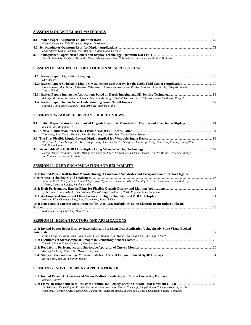# **SESSION 8: QUANTUM-DOT MATERIALS**

| Masaki Hasegawa, Yuki Hirayama, Stephan Dertinger                                                            |  |
|--------------------------------------------------------------------------------------------------------------|--|
|                                                                                                              |  |
| Ehud Shaviv, Denis Glozman, Yossi Bonfil, Uri Banin, Shlomo Amir                                             |  |
|                                                                                                              |  |
| Jesse R. Manders, Lei Qian, Alexandre Titov, Jake Hyvonen, Jean Tokarz-Scott, Jiangeng Xue, Paul H. Holloway |  |

# **SESSION I1: IMAGING TECHNOLOGIES AND APPLICATIONS I**

| Kurt Akeley                                                                                                                            |  |
|----------------------------------------------------------------------------------------------------------------------------------------|--|
|                                                                                                                                        |  |
| Honam Kwon, Machiko Ito, Yuko Kizu, Yukio Kizaki, Mitsuyoshi Kobayashi, Risako Ueno, Kazuhiro Suzuki, Hideyuki Funaki,<br>Yutaka Nakai |  |
|                                                                                                                                        |  |
| Achintya K. Bhowmik, Selim Benhimane, Gershom Kutliroff, David Molyneaux, Blake C. Lucas, Chaim Rand, Hon Pong Ho                      |  |
|                                                                                                                                        |  |
| Saurabh Gupta, Ross Girshick, Pablo Arbeláez, Jitendra Malik                                                                           |  |

# **SESSION 9: WEARABLE DISPLAYS: DIRECT VIEWS**

| Zhenan Bao, Minggian He                                                                                                                                      |  |
|--------------------------------------------------------------------------------------------------------------------------------------------------------------|--|
|                                                                                                                                                              |  |
| Tao Wang, Song Zhang, Tao Sun, Xiao-Bo Du, Jing Gao, Wei-Feng Zhou, Da-Wei Wang                                                                              |  |
|                                                                                                                                                              |  |
| Wen-Yuan Li, Pin-Hsiang Chiu, Tai-Hsiang Huang, Jen-Kuei Lu, Yi-Hsiang Lai, Yu-Sheng Huang, Chin-Tang Chuang, Cheng-Nan<br>Yeh, Norio Sugiura                |  |
|                                                                                                                                                              |  |
| Hideki Ohmae, Yoshihiro Tomita, Mitsuhiro Kasahara, Jeroen Schram, Edsger Smits, Jeroen Van Den Brand, Frederick Bossuyt,<br>Jan Vanfleteren, Johan De Baets |  |

#### **SESSION 10: OLED ENCAPSULATION AND RELIABILITY**

| 10.1: Invited Paper: Roll-to-Roll Manufacturing of Functional Substrates and Encapsulation Films for Organic            |  |
|-------------------------------------------------------------------------------------------------------------------------|--|
|                                                                                                                         |  |
| John Fahlteich, Cindy Steiner, Michiel Top, David Wynands, Tomasz Wanski, Stefan Mogck, Esra Kucukpinar, Sabine Amberg- |  |
| Schwab, Christine Boeffel, Nicolas Schiller                                                                             |  |
|                                                                                                                         |  |
| Jyrki Kimmel, Juha Nikkola, Lea Räsänen, Pia Willberg-Keyriläinen, Heikki Viljanen, Mika Paajanen                       |  |
|                                                                                                                         |  |
| Hojoong Kim, Chanhyuk Jung, Jang-Yeon Kwon, Songkuk Kim                                                                 |  |
| 10.4: Non-Contact Current Measurements for AMOLED Backplanes Using Electron-Beam-Induced Plasma                         |  |
| <b>Probes</b>                                                                                                           |  |
| Ned Saleh, Enrique Sterling, Daniel Toet                                                                                |  |
|                                                                                                                         |  |

# **SESSION 11: HUMAN FACTORS AND APPLICATIONS**

| 11.1: Invited Paper: Brain-Display Interaction and Its Biomedical Application Using Steady-State Visual Evoked |  |
|----------------------------------------------------------------------------------------------------------------|--|
| 122                                                                                                            |  |
| Fang-Cheng Lin, Yu-Yi Chien, John K Zao, Yi-Pai Huang, Yijun Wang, Tzyy-Ping Jung, Han-Ping D. Shieh           |  |
|                                                                                                                |  |
| Takashi Shibata, Yoshiki Ishihara, Kazunori Satou                                                              |  |
|                                                                                                                |  |
| Kyeong Ah Jeong, Nooree Na, Hyeon-Jeong Suk                                                                    |  |
| Bochao Zou, Yue Liu, Yongtian Wang                                                                             |  |

# **SESSION 12: NOVEL DISPLAY APPLICATIONS II**

| Brian A. Barsky                                                                                                       |  |
|-----------------------------------------------------------------------------------------------------------------------|--|
|                                                                                                                       |  |
| Jun Ishikawa, Teppei Oguni, Kazuhei Narita, Aya Hitotsuyanagi, Masaki Yamakaji, Jumpei Momo, Takuya Hirohashi, Yusuke |  |
| Yoshitani, Hiromi Nowatari, Tatsuyoshi Takahashi, Tsunenori Suzuki, Satoshi Seo, Minoru Takahashi, Shunpei Yamazaki   |  |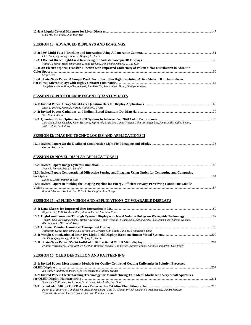| Sihui He, Jiyu Fang, Shin-Tson Wu |  |  |
|-----------------------------------|--|--|
|                                   |  |  |

# **SESSION 13: ADVANCED DISPLAYS AND IMAGINGS**

| Chen Su, Qing Zhong, Chao Yu, Haifeng Li, Xu Liu                                                                                                              |  |
|---------------------------------------------------------------------------------------------------------------------------------------------------------------|--|
|                                                                                                                                                               |  |
| Young Ju Jeong, Hyun Sung Chang, Yang Ho Cho, Dongkyung Nam, C.-C. Jay Kuo                                                                                    |  |
| 13.4: An Electro-Optical Transfer Function with Improved Uniformity of Palette Color Distribution in Absolute                                                 |  |
| Senfar Wen                                                                                                                                                    |  |
| 13.5L: Late-News Paper: A Simple Pixel Circuit for Ultra High Resolution Active Matrix OLED-on-Silicon                                                        |  |
|                                                                                                                                                               |  |
| Sang-Woon Hong, Bong-Choon Kwak, Jun-Seok Na, Seong-Kwan Hong, Oh-Kyong Kwon                                                                                  |  |
| <b>SESSION 14: PHOTOLUMINESCENT QUANTUM DOTS</b>                                                                                                              |  |
| Nigel L. Pickett, James A. Harris, Nathalie C. Gresty                                                                                                         |  |
| Seth Coe-Sullivan                                                                                                                                             |  |
| Jian Chen, Steve Gensler, Jason Hartlove, Jeff Yurek, Ernie Lee, James Thielen, John Van Derlofske, James Hillis, Gilles Benoit,<br>Josh Tibbits, Art Lathrop |  |
| <b>SESSION I2: IMAGING TECHNOLOGIES AND APPLICATIONS II</b>                                                                                                   |  |
| Gordon Wetzstein                                                                                                                                              |  |
| <b>SESSION I2: NOVEL DISPLAY APPLICATIONS II</b>                                                                                                              |  |
| $Iovca E$ Earrall Brian A Wandell                                                                                                                             |  |

| Joyce E. Farrell, Brian A. Wandell                                                                             |     |
|----------------------------------------------------------------------------------------------------------------|-----|
| 12.3: Invited Paper: Computational Diffractive Sensing and Imaging: Using Optics for Computing and Computing   |     |
|                                                                                                                | 184 |
| David G. Stork, Patrick R. Gill                                                                                |     |
| 12.4: Invited Paper: Rethinking the Imaging Pipeline for Energy-Efficient Privacy-Preserving Continuous Mobile |     |
| Vision                                                                                                         | 187 |
| Robert Likamwa, Yunhui Hou, Peter Y. Washington, Lin Zhong                                                     |     |

# **SESSION 15: APPLIED VISION AND APPLICATIONS OF WEARABLE DISPLAYS**

| Rigo Herold, Falk Weidenmüller, Markus Penzel, Matthias Ebert                                                                                            |  |
|----------------------------------------------------------------------------------------------------------------------------------------------------------|--|
|                                                                                                                                                          |  |
| Takashi Oku, Katsuyuki Akutsu, Mieko Kuwahara, Takuji Yoshida, Eisaku Kato, Kazuma Aiki, Ikuo Matsumura, Satoshi Nakano,<br>Akio Machida, Hiroshi Mukawa |  |
|                                                                                                                                                          |  |
| Youngshin Kwak, Hyeyoung Ha, Sooyeon Lee, Hyosun Kim, Young-Jun Seo, Byungchoon Yang                                                                     |  |
|                                                                                                                                                          |  |
| Jun Ding, Qing Zhong, Mali Liu, Haifeng Li, Xu Liu                                                                                                       |  |
|                                                                                                                                                          |  |
| Philipp Wartenberg, Bernd Richter, Stephan Brenner, Michael Thomschke, Karsten Fehse, Judith Baumgarten, Uwe Vogel                                       |  |

# **SESSION 16: OLED DEPOSITION AND PATTERNING**

| 16.1: Invited Paper: Measurement Methods for Quality Control of Coating Uniformity in Solution-Processed            |     |
|---------------------------------------------------------------------------------------------------------------------|-----|
|                                                                                                                     |     |
| Ian Parker, Andrew Johnson, Kyle Frischknecht, Matthew Stainer                                                      |     |
| 16.2: Invited Paper: Electroforming Technology for Manufacturing Thin Metal Masks with Very Small Apertures         |     |
|                                                                                                                     | 211 |
| Sundaram N. Kumar, Robin John, Scott Lauer, Whit Little, Bob Daul                                                   |     |
|                                                                                                                     |     |
| Pawel E. Malinowski, Tunghuei Ke, Atsushi Nakamura, Ting-Yu Chang, Pritesh Gokhale, Sören Steudel, Dimitri Janssen, |     |
| Yoshitaka Kamochi, Ichiro Koyama, Yu Iwai, Paul Heremans                                                            |     |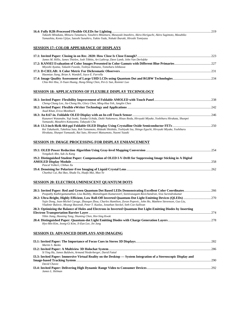| Takashi Minakata, Mitsuru Tanamura, Yasuhiro Mitamura, Masayuki Imashiro, Akira Horiguchi, Akira Sugimoto, Masahiko |  |
|---------------------------------------------------------------------------------------------------------------------|--|
| Yamashita, Kento Ujiive, Satoshi Sunahiro, Yukito Yada, Nobuki Ibaraki, Hiroshi Tomiyasu                            |  |
|                                                                                                                     |  |

# **SESSION 17: COLOR APPEARANCE OF DISPLAYS**

| James M. Hillis, James Thielen, Josh Tibbits, Art Lathrop, Dave Lamb, John Van Derlofske |  |
|------------------------------------------------------------------------------------------|--|
|                                                                                          |  |
| Miyoshi Ayama, Takashi Fuseda, Toshiya Hamano, Tomoharu Ishikawa                         |  |
|                                                                                          |  |
| Haomiao Jiang, Brian A. Wandell, Joyce E. Farrella                                       |  |
| Chia-Wei Hsu, Ji-Yuan Huang, Hung-Shing Chen, Pei-Li Sun, Ronnier Luo                    |  |

# **SESSION 18: APPLICATIONS OF FLEXIBLE DISPLAY TECHNOLOGY**

| Cheng-Chung Lee, Jia-Chong Ho, Glory Chen, Ming-Hua Yeh, Janglin Chen                                                   |  |
|-------------------------------------------------------------------------------------------------------------------------|--|
|                                                                                                                         |  |
| Asad Khan, Erica Montbach                                                                                               |  |
|                                                                                                                         |  |
| Kazunori Watanabe, Yuji Iwaki, Yutaka Uchida, Daiki Nakamura, Hisao Ikeda, Hiroyuki Miyake, Yoshiharu Hirakata, Shunpei |  |
| Yamazaki, Masahiro Katayama, Takayuki Cho                                                                               |  |
|                                                                                                                         |  |
| Kei Takahashi, Takehisa Sato, Roh Yamamoto, Hideaki Shishido, Toshiyuki Isa, Shingo Eguchi, Hiroyuki Miyake, Yoshiharu  |  |
| Hirakata, Shunpei Yamazaki, Rai Sato, Hironori Matsumoto, Naomi Yazaki                                                  |  |

# **SESSION 19: IMAGE PROCESSING FOR DISPLAY ENHANCEMENT**

| Yongduck Ahn, Suk-Ju Kang                                                                                     |     |
|---------------------------------------------------------------------------------------------------------------|-----|
| 19.2: Distinguished Student Paper: Compensation of OLED I-V-Drift for Suppressing Image Sticking in A Digital |     |
|                                                                                                               | 258 |
| Pascal Volkert, Chihao Xu                                                                                     |     |
|                                                                                                               |     |
| Chunhui Cui, Rui Bao, Shuda Yu, Huafu Mai, Mao Ye                                                             |     |

#### **SESSION 20: ELECTROLUMINESCENT QUANTUM DOTS**

| Poopathy Kathirgamanathan, Lisa Bushby, Muttulingam Kumaraverl, Seenivasagam Ravichandran, Siva Surendrakumar                                                                                                 |     |
|---------------------------------------------------------------------------------------------------------------------------------------------------------------------------------------------------------------|-----|
|                                                                                                                                                                                                               |     |
| Yajie Dong, Jean-Michel Caruge, Zhaogun Zhou, Charles Hamilton, Zoran Popovic, John Ho, Matthew Stevenson, Guo Liu,<br>Vladimir Bulovic, Moungi Bawendi, Peter T. Kazlas, Jonathan Steckel, Seth Coe-Sullivan |     |
| 20.3: Optimizing the Balance of Holes and Electrons in Inverted Quantum Dot Light-Emitting Diodes by Inserting                                                                                                |     |
|                                                                                                                                                                                                               | 274 |
| Yibin Jiang, Haoning Tang, Shuming Chen, Hoi-Sing Kwok                                                                                                                                                        |     |
| Hyo-Min Kim, Jeong-Gi Kim, Ji-Eun Lee, Jin Jang                                                                                                                                                               |     |

# **SESSION I3: ADVANCED DISPLAYS AND IMAGING**

| Martin S. Banks                                                                                                  |      |
|------------------------------------------------------------------------------------------------------------------|------|
|                                                                                                                  |      |
| Si Ying Hu, James Baldwin, Armand Niederberger, David Fattal                                                     |      |
| 13.3: Invited Paper: Immersive Virtual Reality on the Desktop — System Integration of a Stereoscopic Display and |      |
|                                                                                                                  | -290 |
| David Chavez                                                                                                     |      |
|                                                                                                                  |      |
| James L. Helman                                                                                                  |      |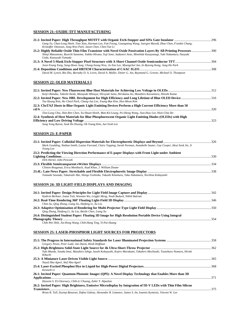# **SESSION 21: OXIDE-TFT MANUFACTURING**

| Gang Yu, Chan-Long Shieh, Tian Xiao, Karman Lee, Fatt Foong, Guangming Wang, Juergen Musolf, Zhao Chen, Frankie Chang,                                                                 |  |
|----------------------------------------------------------------------------------------------------------------------------------------------------------------------------------------|--|
| Kristoffer Ottosson, Jung-Woo Park, Jason Chen, Chen-Yue Li<br>Shinji Matsumoto, Ryoichi Saotome, Yukiko Hirano, Yuji Sone, Sadanori Arae, Minehide Kusayanagi, Yuki Nakamura, Naoyuki |  |
| Ueda, Katsuyuki Yamada                                                                                                                                                                 |  |
| Joon-Young Yang, Sung-Hoon Jung, Chang-Seung Woo, Ju-Yun Lee, Myungchul Jun, In-Byeong Kang, Jung-Ho Park                                                                              |  |
|                                                                                                                                                                                        |  |
| David M. Lynch, Bin Zhu, Barnaby D. A. Levin, David A. Muller, Dieter G. Ast, Raymond G. Greene, Michael O. Thompson                                                                   |  |
| <b>SESSION 22: OLED MATERIALS I</b>                                                                                                                                                    |  |
| Keiji Okinaka, Takeshi Ikeda, Masayuki Mitsuya, Hiroyuki Saito, Hirokatsu Ito, Masahiro Kawamura, Hitoshi Kuma                                                                         |  |
| Tae Hyung Kim, Ho Cheol Park, Chang-Jun Lee, Young-Bae Kim, Hoe-Moon Kim                                                                                                               |  |
| 22.3: CbzTAZ Hosts in Blue Organic Light Emitting Devices Perform a High Current Efficiency More than 50                                                                               |  |
| Tien-Lung Chiu, Shin-Ren Chen, Yu-Shuan Hsieh, Man-Kit Leung, Po-Sheng Wang, Jiun-Haw Lee, Hsin-Chia Ho                                                                                |  |
| 22.4: Synthesis of Host Materials for Blue Phosphorescent Organic Light Emitting Diodes (OLEDs) with High                                                                              |  |
| Sung Yong Byeon, Seok Ho Hwang, Oh Young Kim, Jun Yeob Lee                                                                                                                             |  |
| <b>SESSION 23: E-PAPER</b>                                                                                                                                                             |  |
|                                                                                                                                                                                        |  |
| Mark Goulding, Nathan Smith, Louise Farrand, Claire Topping, Sarah Norman, Annabelle Sauter, Guy Cooper, Heui Seok Jin, Ji<br>Young Lee                                                |  |
| 23.2: Predicting the Viewing Direction Performance of E-paper Displays with Front Light under Ambient                                                                                  |  |
| Dirk Hertel, John Penczek                                                                                                                                                              |  |
|                                                                                                                                                                                        |  |
| Clinton Braganza, Erica Montbach, Asad Khan, J. William Doane                                                                                                                          |  |
| Tomoaki Sawada, Takatoshi Abe, Shingo Yoshioka, Takashi Kitamura, Taku Nakamura, Norihisa Kobayashi                                                                                    |  |
| <u>SESSION 24: 3D LIGHT-FIELD DISPLAYS AND IMAGING</u>                                                                                                                                 |  |
| Kathrin Berkner, Ivana Toši, Wanmin Wu, Lingfei Meng, Noah Bedard, Nikhil Balram                                                                                                       |  |
|                                                                                                                                                                                        |  |
| Chen Su, Qing Zhong, Liang Xu, Haifeng Li, Xu Liu                                                                                                                                      |  |
| Qing Zhong, Haifeng Li, Xu Liu, Beishi Chen, Liang Xu                                                                                                                                  |  |
| 24.4: Distinguished Student Paper: Floating 3D Image for High Resolution Portable Device Using Integral                                                                                |  |
| Chih-Wei Shih, Jia-Hong Wang, Chih-Hung Ting, Yi-Pai Huang                                                                                                                             |  |
| <b>SESSION 25: LASER-PHOSPHOR LIGHT SOURCES FOR PROJECTORS</b>                                                                                                                         |  |
|                                                                                                                                                                                        |  |
| Gregory Niven, Peter Ludé, Jan Daem, Heidi Hoffman                                                                                                                                     |  |
| Yuki Maeda, Yutaka Imai, Masahiro Ishige, Izushi Kobayashi, Kojiro Murakami, Takahiro Mochizuki, Tsuneharu Nomura, Hiroki                                                              |  |
| Kikuchi                                                                                                                                                                                |  |
|                                                                                                                                                                                        |  |
| Nayef Abu-Ageel, Atef Abu-Ageel                                                                                                                                                        |  |
| Kenneth Li                                                                                                                                                                             |  |
| 26.1: Invited Paper: Quantum Photonic Imager (QPI): A Novel Display Technology that Enables More than 3D                                                                               |  |
| Hussein S. El-Ghoroury, Chih-Li Chuang, Zahir Y. Alpaslan                                                                                                                              |  |
| 26.2: Invited Paper: High Brightness, Emissive Microdisplay by Integration of III-V LEDs with Thin Film Silicon                                                                        |  |
| Brian R. Tull, Zeynep Basaran, Dafna Gidony, Alexander B. Limanov, James S. Im, Ioannis Kymissis, Vincent W. Lee                                                                       |  |
|                                                                                                                                                                                        |  |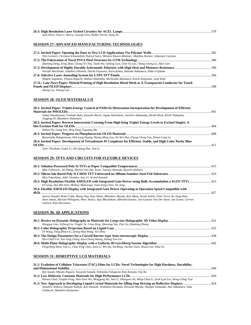| Jack Silver, Paul G. Harris, George Fern, Walter Perrie, Yang Jin |  |
|-------------------------------------------------------------------|--|

#### **SESSION 27: ADVANCED MANUFACTURING TECHNOLOGIES**

| Nils Greinert, Christian Schoenefeld, Patrick Suess, Melanie Klasen-Memmer, Matthias Bremer, Johannes Canisius |  |
|----------------------------------------------------------------------------------------------------------------|--|
|                                                                                                                |  |
| Zhuming Deng, Feng Zhao, Chung-Yi Chiu, Yuzhi Wu, Qiming Gan, Chia-Yu Lee, Chang-Cheng Lo, Alan Lien           |  |
|                                                                                                                |  |
| Noriaki Mochizuki, Takahiro Ishinabe, Daichi Fujiwara, Norio Koma, Daisuke Nakamura, Hideo Fujikake            |  |
|                                                                                                                |  |
| Shigeto Sugimoto, Tetsuya Kiguchi, Makoto Hatanaka, Michinobu Mizumura, Koichi Kajiyama, Junji Kido            |  |
| 27.5L: Late-News Paper: Hybrid Printing of High Resolution Metal Mesh as A Transparent Conductor for Touch     |  |
|                                                                                                                |  |
| Zheng Cui, Yulong Gao                                                                                          |  |

# **SESSION 28: OLED MATERIALS II**

| 28.1: Invited Paper: Triplet-Energy Control of PAHs by Heteroatom Incorporation for Development of Efficient                                             |  |
|----------------------------------------------------------------------------------------------------------------------------------------------------------|--|
|                                                                                                                                                          |  |
| Takuji Hatakeyama, Toshiaki Ikuta, Kazushi Shiren, Sigma Hashimoto, Soichiro Nakatsuka, Hiroki Hirai, Kiichi Nakajima,<br>Jingping Ni, Masaharu Nakamura |  |
| 28.2: Invited Paper: Reverse Intersystem Crossing From High-lying Triplet Energy Levels to Excited Singlet: A                                            |  |
|                                                                                                                                                          |  |
| Dehua Hu, Liang Yao, Bing Yang, Yuguang Ma                                                                                                               |  |
|                                                                                                                                                          |  |
| Banumathy Balaganesan, Heh Lung Huang, Huang Ming Guo, Po Wei Hsu, Cheng Chung Yao, Hsuan Lung Lu                                                        |  |
| 28.4: Invited Paper: Development of Tetradentate Pt Complexes for Efficient, Stable, and High Color Purity Blue                                          |  |
|                                                                                                                                                          |  |
| $\pi$ , $\pi$ , $\pi$ , $\pi$ , $\pi$ , $\pi$ , $\pi$ , $\pi$ , $\pi$ , $\pi$ , $\pi$ , $\pi$ , $\pi$ , $\pi$                                            |  |

*Tyler Fleetham, Guijie Li, Zhi-Qiang Zhu, Jian Li* 

#### **SESSION 29: TFTS AND CIRCUITS FOR FLEXIBLE DEVICES**

| Miki Trifunovic, Jin Zhang, Michiel Van Der Zwan, Tatsuya Shimoda, Ryoichi Ishihara                                                                                                                                                                                           |  |
|-------------------------------------------------------------------------------------------------------------------------------------------------------------------------------------------------------------------------------------------------------------------------------|--|
|                                                                                                                                                                                                                                                                               |  |
| Mao Takashima, Aditi Chandra, Joey Li, Arvind Kamath                                                                                                                                                                                                                          |  |
|                                                                                                                                                                                                                                                                               |  |
| Di Geng, Hyo Min Kim, Mallory Mativenga, Yuan Feng Chen, Jin Jang                                                                                                                                                                                                             |  |
| 29.4: Flexible AMOLED Display with Integrated Gate Driver Operating at Operation Speed Compatible with                                                                                                                                                                        |  |
| 4k2k                                                                                                                                                                                                                                                                          |  |
| Soeren Steudel, Brian Cobb, Manoj Nag, Koji Obata, Mitsuhiro Murata, Kris Myny, Sarah Schols, Peter Vicca, Ke Tung Huei,<br>Steve Smout, Myriam Willegems, Marc Ameys, Ajay Bhoolokam, Abhishek Kumar, Jan-Laurens Van Der Steen, Jan Genoe, Gerwin<br>Gelinck. Paul Heremans |  |

# **SESSION 30: 3D APPLICATIONS**

| Hongyue Gao, Jicheng Liu, Yingjie Yu, Chao Zeng, Qiuxiang Yao, Pan Liu, Huadong Zheng               |  |
|-----------------------------------------------------------------------------------------------------|--|
|                                                                                                     |  |
| Di Wang, Fang-Zhuan Li, Qiong-Hua Wang, Xin Zhou                                                    |  |
|                                                                                                     |  |
| Wei-Chieh Lin, Yun-Ting Cheng, Kuo-Chung Huang, Hoang Yan Lin                                       |  |
|                                                                                                     |  |
| Pengcheng Zhou, Yan Li, Chao Ping Chen, Xiao Li, Wei Hu, Na Rong, Yachao Yuan, Shuxin Liu, Yikai Su |  |

# **SESSION 31: DISRUPTIVE LCD MATERIALS**

| 31.1: Evolution of Cellulose Triacetate (TAC) Films for LCDs: Novel Technologies for High Hardness, Durability,          |  |
|--------------------------------------------------------------------------------------------------------------------------|--|
|                                                                                                                          |  |
| Ryo Suzuki, Masato Nagura, Yasuyuki Sasada, Nobutaka Fukagawa, Koji Kawato, Yoji Ito                                     |  |
|                                                                                                                          |  |
| Haiwei Chen, Fenglin Peng, Shin-Tson Wu, Minggang Hu, Jian Li, Zhongwei An, Ming-Chun Li, Seok-Lyul Lee, Weng-Ching Tsai |  |
|                                                                                                                          |  |
| Yasuhiro Niikura, Daisuke Kubota, Ryo Hatsumi, Yoshiharu Hirakata, Hiroyuki Miyake, Shunpei Yamazaki, Ami Nakamura, Yuka |  |
| Chubachi, Masahiro Katayama                                                                                              |  |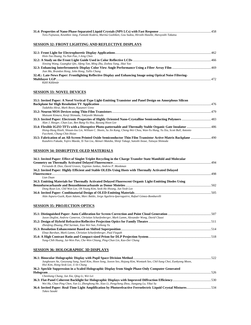| Toru Fujisawa, Keumhee Jang, Fumiaki Kodera, Marina Gushiken, Gou Sudou, Hiroshi Hasebe, Haruyoshi Takatsu |  |
|------------------------------------------------------------------------------------------------------------|--|
|                                                                                                            |  |
|                                                                                                            |  |

## **SESSION 32: FRONT LIGHTING AND REFLECTIVE DISPLAYS**

| Hsin-Tao Huang, Yu-Nan Pao, I-Jeng Chen                                                                     |     |
|-------------------------------------------------------------------------------------------------------------|-----|
| Xinxing Wang, Guangkui Oin, Jifeng Tan, Ming Zhu, Zezhou Yang, Jikai Yao                                    |     |
| Jian Ma, Brandon Hong, John Hong, Tallis Chang                                                              |     |
| 32.4L: Late-News Paper: Frontlighting Reflective Display and Enhancing Image using Optical Noise Filtering- |     |
|                                                                                                             | 472 |
| Kälil Käläntär                                                                                              |     |

# **SESSION 33: NOVEL DEVICES**

| 33.1: Invited Paper: A Novel Vertical-Type Light-Emitting Transistor and Panel Design on Amorphous Silicon                                                                                                                   |  |
|------------------------------------------------------------------------------------------------------------------------------------------------------------------------------------------------------------------------------|--|
|                                                                                                                                                                                                                              |  |
| Tadahiko Hirai, Mark Bown, Kazunori Ueno                                                                                                                                                                                     |  |
|                                                                                                                                                                                                                              |  |
| Mutsumi Kimura, Kenji Shimada, Tokiyoshi Matsuda                                                                                                                                                                             |  |
|                                                                                                                                                                                                                              |  |
| Alan J. Heeger, Chan Luo, Ben Bang-Yu Hsu, Byoung Hoon Lee                                                                                                                                                                   |  |
|                                                                                                                                                                                                                              |  |
| Hsing-Hung Hsieh, Shiuan-Iou Lin, William C. Sheets, Su Jin Kang, Cheng-Wei Chou, Wan-Yu Hung, Yu Xia, Scott Bull, Antonio                                                                                                   |  |
| Facchetti, Chung-Chin Hsiao                                                                                                                                                                                                  |  |
| 33.5: Fabrication of an All-Screen Printed Oxide Semiconductor Thin Film Transistor Active-Matrix Backplane  490<br>Kazuhiro Fukada, Yojiro Maeda, Xi Yun Liu, Akinari Matoba, Shinji Takagi, Satoshi Inoue, Tatsuya Shimoda |  |

#### **SESSION 34: DISRUPTIVE OLED MATERIALS**

| 34.1: Invited Paper: Effect of Singlet Triplet Recycling in the Charge Transfer State Manifold and Molecular |  |
|--------------------------------------------------------------------------------------------------------------|--|
|                                                                                                              |  |
| Fernando B. Dias, David Graves, Vygintas Jankus, Andrew P. Monkman                                           |  |
| 34.2: Invited Paper: Highly Efficient and Stable OLEDs Using Hosts with Thermally Activated Delayed          |  |
| Fluorescence                                                                                                 |  |
| Lian Duan                                                                                                    |  |
| 34.3: Emitting Materials for Thermally Activated Delayed Fluorescent Organic Light-Emitting Diodes Using     |  |
|                                                                                                              |  |
| Dong Ryun Lee, Chil Won Lee, Oh Young Kim, Seok Ho Hwang, Jun Yeob Lee                                       |  |
|                                                                                                              |  |
| Alán Aspuru-Guzik, Ryan Adams, Marc Baldo, Jorge Aguilera-Iparraguirre, Rafael Gómez-Bombarelli              |  |

# **SESSION 35: PROJECTION OPTICS**

| Jason Deglint, Andrew Cameron, Christian Scharfenberger, Mark Lamm, Alexander Wong, David Clausi |  |
|--------------------------------------------------------------------------------------------------|--|
|                                                                                                  |  |
| Zhenfeng Zhuang, Phil Surman, Xiao Wei Sun, Feihong Yu                                           |  |
|                                                                                                  |  |
| Elnaz Barshan, Mark Lamm, Christian Scharfenberger, Paul Fieguth                                 |  |
|                                                                                                  |  |
| Yung-Chih Huang, Jui-Wen Pan, Che-Wen Chiang, Ping-Chun Lin, Kao-Der Chang                       |  |

# **SESSION 36: HOLOGRAPHIC 3D DISPLAYS**

| Jungkwuen An, Geeyoung Sung, Sunil Kim, Hoon Song, Juwon Seo, Hojung Kim, Wontaek Seo, Chil-Sung Choi, Eunkyong Moon, |      |
|-----------------------------------------------------------------------------------------------------------------------|------|
| Hwi Kim. Hong-Seok Lee. U-In Chung                                                                                    |      |
| 36.2: Speckle Suppression in a Scaled Holographic Display from Single Phase-Only Computer Generated                   |      |
|                                                                                                                       | -526 |
| Chenliang Chang, Jun Xia, Qing Li, Wei Lei                                                                            |      |
|                                                                                                                       |      |
| Wei Hu, Chao Ping Chen, Yan Li, Zhenghong He, Xiao Li, Pengcheng Zhou, Jiangang Lu, Yikai Su                          |      |
| 36.4: Invited Paper: Real-Time Light Amplification by Photorefractive Ferroelectric Liquid Crystal Mixtures534        |      |
| Takeo Sasaki                                                                                                          |      |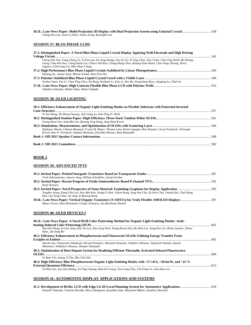| 36.5L: Late-News Paper: Multi-Projection 3D Display with Dual Projection System using Uniaxial Crystal 538 |  |
|------------------------------------------------------------------------------------------------------------|--|
| Chang-Kun Lee, Soon-Gi Park, Jinsoo Jeong, Byoungho Lee                                                    |  |

# **SESSION 37: BLUE-PHASE LCDS**

| 37.1: Distinguished Paper: A Novel Blue Phase Liquid Crystal Display Applying Wall-Electrode and High Driving                                                                                                                                                                            |      |
|------------------------------------------------------------------------------------------------------------------------------------------------------------------------------------------------------------------------------------------------------------------------------------------|------|
|                                                                                                                                                                                                                                                                                          | -542 |
| Cheng-Yeh Tsai, Fang-Cheng Yu, Yi-Fen Lan, Pu-Jung Huang, Szu-Yu Lin, Yi-Ting Chen, Tzu-I Tsao, Chia-Ting Hsieh, Bo-Shiang<br>Tseng, Chia-Wei Kuo, Ching-Huan Lin, Chien-Chih Kuo, Chung-Hung Chen, Hsiang-Yuan Hsieh, Chin-Tang Chuang, Norio<br>Sugiura, Chih-Lung Lin, Mao-Hsun Cheng |      |
|                                                                                                                                                                                                                                                                                          |      |
| Daming Xu, Jiamin Yuan, Martin Schadt, Shin-Tson Wu                                                                                                                                                                                                                                      |      |
|                                                                                                                                                                                                                                                                                          |      |
| Yachao Yuan, Yan Li, Chao Ping Chen, Na Rong, Weihuan Li, Xiao Li, Wei Hu, Pengcheng Zhou, Jiangang Lu, Yikai Su                                                                                                                                                                         |      |
|                                                                                                                                                                                                                                                                                          |      |
| Takahiro Ishinabe, Hideki Sakai, Hideo Fujikake                                                                                                                                                                                                                                          |      |

# **SESSION 38: OLED LIGHTING**

| 38.1: Efficiency Enhancement of Organic Light-Emitting Diodes on Flexible Substrate with Patterned Inverted                                                                                             |  |
|---------------------------------------------------------------------------------------------------------------------------------------------------------------------------------------------------------|--|
|                                                                                                                                                                                                         |  |
| Yi-Jun Wang, Shi-Hong Ouyang, Jian-Gang Lu, Han-Ping D. Shieh                                                                                                                                           |  |
|                                                                                                                                                                                                         |  |
| Young Hoon Son, Jung Min Lee, Byoung Yeop Kang, Jang Hyuk Kwon                                                                                                                                          |  |
|                                                                                                                                                                                                         |  |
| Stéphane Altazin, Clément Reynaud, Ursula M. Mayer, Thomas Lanz, Kevin Lapagna, Reto Knaack, Lieven Penninck, Christoph<br>Kirsch, Kurt P. Pernstich, Stephan Harkema, Dorothee Hermes, Beat Ruhstaller |  |
|                                                                                                                                                                                                         |  |
|                                                                                                                                                                                                         |  |

# **BOOK 2**

# **SESSION 39: ADVANCED TFTS**

| Vivek Subramanian, Jaewon Jang, William Scheideler, Sarah Swisher                                                       |  |
|-------------------------------------------------------------------------------------------------------------------------|--|
|                                                                                                                         |  |
| Kenji Nomura                                                                                                            |  |
|                                                                                                                         |  |
| Yongbin Jeong, Dong Chin Lee, Hyo-Min Kim, Jeong-Gi Kim, Jiyeon Kang, Sung Hee Cho, Su Seok Choi, Jinook Kim, Chul-Hong |  |
| Kim, Gee Sung Chae, Jin Jang, In Byeong Kang                                                                            |  |
|                                                                                                                         |  |
| Mauro Furno, Hans Kleemann, Gregor Schwartz, Jan Blochwitz-Nimoth                                                       |  |

# **SESSION 40: OLED DEVICES I**

| 40.1L: Late-News Paper: A Novel RGB Color Patterning Method for Organic Light-Emitting-Diodes: Joule-                                                             |  |
|-------------------------------------------------------------------------------------------------------------------------------------------------------------------|--|
|                                                                                                                                                                   |  |
| Won-Eui Hong, In-Goo Jang, Hae-Jin Lee, Doo-Jung Park, Young-Kwan Kim, Ho-Won Lee, Song-Eun Lee, Brian Lassiter, Dieter<br>Haas, Jae-Sang Ro                      |  |
| 40.2: Efficiency Enhancement in Phosphorescent and Fluorescent OLEDs Utilizing Energy Transfer From                                                               |  |
|                                                                                                                                                                   |  |
| Satoshi Seo, Tatsuyoshi Takahashi, Hiromi Nowatari, Shunsuke Hosoumi, Takahiro Ishisone, Takeyoshi Watabe, Satomi<br>Mitsumori, Nobuharu Ohsawa, Shunpei Yamazaki |  |
| 40.3: Optimization of Host-Dopant System for Realizing Efficient Thermally Activated Delayed Fluorescence                                                         |  |
|                                                                                                                                                                   |  |
| Ye Ram Cho, Seung Ji Cha, Min Chul Suh                                                                                                                            |  |
| 40.4: High Efficiency Blue Phosphorescent Organic Light-Emitting Diodes with >57 cd/A, >50 lm/W, and >25 %                                                        |  |
|                                                                                                                                                                   |  |
| Yi-Hsin Lan, Jau-Jiun Huang, Ya-Ting Chuang, Man-Kit Leung, Tien-Lung Chiu, Chi-Feng Lin, Jiun-Haw Lee                                                            |  |

# **SESSION 41: AUTOMOTIVE DISPLAY APPLICATIONS AND SYSTEMS**

| Naoyuki Takasaki, Tsutomu Harada, Akira Sakaigawa, Kazuhiko Sako, Masayuki Mifune, Yasuhisa Shiraishi |  |  |
|-------------------------------------------------------------------------------------------------------|--|--|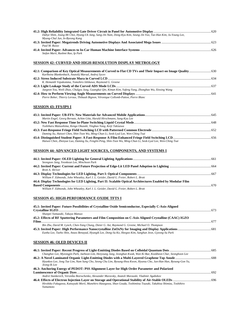| Dahye Shim, Joung-Mi Choi, Hyung-Uk Jang, Sang-Jin Nam, Dong-Kyu Kim, Seung-Jin Yoo, Tae-Hun Kim, Ju-Young Lee, |  |
|-----------------------------------------------------------------------------------------------------------------|--|
| Myung-Chul Jun, In-Byeong Kang                                                                                  |  |
|                                                                                                                 |  |
| Paul M. Russo                                                                                                   |  |
| Stefan Marti, Rashmi Rao, Ip Park                                                                               |  |

# **SESSION 42: CURVED AND HIGH-RESOLUTION DISPLAY METROLOGY**

| Karlheinz Blankenbach, Anatolij Marsal, Andrej Sycev                                                   |  |
|--------------------------------------------------------------------------------------------------------|--|
|                                                                                                        |  |
| K. Hemanth Vepakomma, Tomohiro Ishikawa, Raymond G. Greene                                             |  |
|                                                                                                        |  |
| Jaegeon You, Weili Zhao, Chulgyu Jung, Guangkui Oin, Kiman Kim, Yafeng Yang, Zhongbao Wu, Xinxing Wang |  |
|                                                                                                        |  |
| Pierre Boher, Thierry Leroux, Thibault Bignon, Véronique Collomb-Patton, Pierre Blanc                  |  |

# **SESSION 43: FFS/IPS I**

| Martin Engel, Georg Bernatz, Achim Götz, Harald Hirschmann, Sang-Kyu Lee                                     |  |
|--------------------------------------------------------------------------------------------------------------|--|
|                                                                                                              |  |
| Toshiharu Matsushima, Kengo Okazaki, Yingbao Yang, Keiji Takizawa                                            |  |
|                                                                                                              |  |
| Daming Xu, Haiwei Chen, Shin-Tson Wu, Ming-Chun Li, Seok-Lyul Lee, Wen-Ching Tsai                            |  |
|                                                                                                              |  |
| Haiwei Chen, Zhenyue Luo, Daming Xu, Fenglin Peng, Shin-Tson Wu, Ming-Chun Li, Seok-Lyul Lee, Wen-Ching Tsai |  |

# **SESSION 44: ADVANCED LIGHT SOURCES, COMPONENTS, AND SYSTEMS I**

| 44.4: Display Technologies for LED Lighting, Part II: Scalable Optical Architectures Enabled by Modular Film |
|--------------------------------------------------------------------------------------------------------------|
|                                                                                                              |
|                                                                                                              |
|                                                                                                              |

# **SESSION 45: HIGH-PERFORMANCE OXIDE TFTS I**

| 45.1: Invited Paper: Future Possibilities of Crystalline Oxide Semiconductor, Especially C-Axis-Aligned  |  |
|----------------------------------------------------------------------------------------------------------|--|
|                                                                                                          |  |
| Shunpei Yamazaki, Takuya Matsuo                                                                          |  |
| 45.2: Effects of RF Sputtering Parameters and Film Composition on C-Axis Aligned Crystalline (CAAC) IGZO |  |
|                                                                                                          |  |
| Bin Zhu, David M. Lynch, Chen-Yang Chung, Dieter G. Ast, Raymond G. Greene, Michael O. Thompson          |  |
|                                                                                                          |  |
| Eunha Lee, Taeho Shin, Anass Benayad, Hyungik Lee, Dong-Su Ko, Heegoo Kim, Sanghun Jeon, Gyeong-Su Park  |  |

# **SESSION 46: OLED DEVICES II**

| Changhee Lee, Myeongjin Park, Jaehoon Lim, Heeyoung Jung, Jeonghun Kwak, Wan Ki Bae, Kookheon Char, Seonghoon Lee  |     |
|--------------------------------------------------------------------------------------------------------------------|-----|
|                                                                                                                    |     |
| Hyunkoo Lee, Jong Tae Lim, Nam Sung Cho, Seong Chu Lim, Byoung-Hwa Kwon, Hyunsu Cho, Jun-Han Han, Byoung-Gon Yu,   |     |
| Jeong-Ik Lee                                                                                                       |     |
| 46.3: Anchoring Energy of PEDOT: PSS Alignment Layer for High Order Parameter and Polarized                        |     |
|                                                                                                                    | 692 |
| Andrei Stankevich, Veronika Bezruchenko, Alexander Muravsky, Anatoli Murauski, Vladimir Agabekov                   |     |
|                                                                                                                    |     |
| Hirohiko Fukagawa, Katsuyuki Morii, Munehiro Hasegawa, Shun Gouda, Toshimitsu Tsuzuki, Takahisa Shimizu, Toshihiro |     |
| Yamamoto                                                                                                           |     |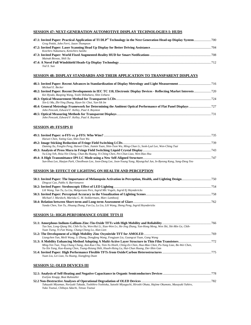# **SESSION 47: NEXT-GENERATION AUTOMOTIVE DISPLAY TECHNOLOGIES I: HUDS**

| Greg Pettitt, John Ferri, Jason Thompson |  |
|------------------------------------------|--|
|                                          |  |
| Koichiro Nakamura, Kenichiro Saisho      |  |
|                                          |  |
| Mainak Biswas, Shili Xu                  |  |
|                                          |  |
| Ted X. Sun                               |  |

#### **SESSION 48: DISPLAY STANDARDS AND THEIR APPLICATION TO TRANSPARENT DISPLAYS**

| Michael E. Becker                                     |  |
|-------------------------------------------------------|--|
|                                                       |  |
| Kei Hyodo, Baoping Wang, Yoshi Shibahara, Shin Uehara |  |
|                                                       |  |
| Xin-Li Ma, Zhi-Ying Zhang, Hyun-Sic Choi, Yun-Sik Im  |  |
|                                                       |  |
| John Penczek, Edward F. Kelley, Paul A. Boynton       |  |
|                                                       |  |
| John Penczek, Edward F. Kelley, Paul A. Boynton       |  |

# **SESSION 49: FFS/IPS II**

| Haiwei Chen, Yating Gao, Shin-Tson Wu                                                                                 |  |
|-----------------------------------------------------------------------------------------------------------------------|--|
|                                                                                                                       |  |
| Daming Xu, Fenglin Peng, Haiwei Chen, Jiamin Yuan, Shin-Tson Wu, Ming-Chun Li, Seok-Lyul Lee, Wen-Ching Tsai          |  |
|                                                                                                                       |  |
| Yu-Ling Yeh, Hsiu-Yin Cheng, Chun-Ru Huang, Yi-Ching Chen, Pei-Chun Liao, Wen-Hao Hsu                                 |  |
|                                                                                                                       |  |
| Sun-Hwa Lee, Haejun Park, Cheolhwan Lee, Joon-Dong Lee, Joon-Young Yang, Myungchul Jun, In-Byeong Kang, Sang-Deog Yeo |  |

#### **SESSION 50: EFFECT OF LIGHTING ON HEALTH AND PERCEPTION**

| Dingcai Cao, Pablo A. Barrionuevo                                                            |  |
|----------------------------------------------------------------------------------------------|--|
|                                                                                              |  |
| Lili Wang, Yan Tu, Lu Liu, Malgorzata Perz, Ingrid Mlc Vogels, Ingrid Ej Heynderickx         |  |
|                                                                                              |  |
| Michael J. Murdoch, Mariska G. M. Stokkermans, Marc Lambooij                                 |  |
|                                                                                              |  |
| Yanda Chen, Yan Tu, Jihuang Zhang, Fan Lu, Lu Liu, Lili Wang, Sheng Peng, Ingrid Heynderickx |  |

# **SESSION 51: HIGH-PERFORMANCE OXIDE TFTS II**

| Tao Sun, Long-Oiang Shi, Chih-Yu Su, Wen-Hui Li, Xiao-Wen Lv, He-Jing Zhang, Yan-Hong Meng, Wen Shi, Shi-Min Ge, Chih- |  |
|------------------------------------------------------------------------------------------------------------------------|--|
| Yuan Tseng, Yi-Fan Wang, Chang-Cheng Lo, Alan Lien                                                                     |  |
|                                                                                                                        |  |
| Liangchen Yan, Meili Wang, Li Zhang, Dongfang Wang, Fengjuan Liu, Guangcai Yuan, Gang Wang                             |  |
|                                                                                                                        |  |
| Ming-Yen Tsai, Ting-Chang Chang, Ann-Kuo Chu, Tien-Yu Hsieh, Ching-En Chen, Hua-Mao Chen, Po-Yung Liao, Bo-Wei Chen,   |  |
| Yu-Xin Yang, Kuo-Kuang Chen, Tsung-Hsiang Shih, Hsueh-Hsing Lu, Hui-Chun Huang, Der-Shin Gan                           |  |
|                                                                                                                        |  |
| Yuan Liu, Lei Liao, Yu Huang, Xiangfeng Duan                                                                           |  |
| <b>SESSION 52: OLED DEVICES III</b>                                                                                    |  |
| Evelyne Knapp, Beat Ruhstaller                                                                                         |  |

| Takayuki Miyamae, Noriyuki Takada, Toshihiro Yoshioka, Satoshi Miyaguchi, Hiroshi Ohata, Hajime Okumoto, Masayuki Yahiro, |  |
|---------------------------------------------------------------------------------------------------------------------------|--|
| Yuko Tsutsui, Chihava Adachi, Tetsuo Tsutsui                                                                              |  |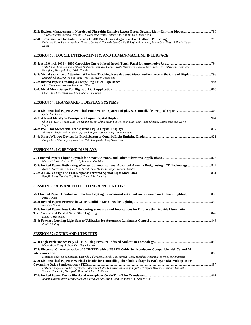| Te Tan, Shihong Ouyang, Yingtao Xie, Dongping Wang, Dalong Zhu, Xin Xu, Hon Hang Fong                                     |  |
|---------------------------------------------------------------------------------------------------------------------------|--|
|                                                                                                                           |  |
| Daimotsu Kato, Hayato Kakizoe, Tomoko Sugizaki, Tomoaki Sawabe, Keiji Sugi, Akio Amano, Tomio Ono, Yasushi Shinjo, Yutaka |  |
| Nakai                                                                                                                     |  |

# **SESSION 53: TOUCH, INTERACTIVITY, AND HUMAN-MACHINE INTERFACE**

| Taiki Kasai, Koji Yoshida, Makoto Ishikawa, Fumitaka Goto, Hiroshi Mizuhashi, Hayato Kurasawa, Keiji Takizawa, Yoshiharu |  |
|--------------------------------------------------------------------------------------------------------------------------|--|
| Nakajima, Tomoyuki Ito, Hideki Kaneko                                                                                    |  |
|                                                                                                                          |  |
| Kyungah Choi, Hyunjoo Bae, Sung-Wook Ju, Hyeon-Jeong Suk                                                                 |  |
|                                                                                                                          |  |
| Chad Sampanes, Iva Segalman, Neil Olien                                                                                  |  |
|                                                                                                                          |  |
| Chun-Chi Chen, Chen-You Chen, Shang-Yu Huang                                                                             |  |

# **SESSION 54: TRANSPARENT DISPLAY SYSTEMS**

| <b>Ouinn Smithwick</b>                                                                                             |  |
|--------------------------------------------------------------------------------------------------------------------|--|
|                                                                                                                    |  |
| Chia-Wei Kuo, Yi-Yang Liao, Bo-Shiang Tseng, Ching-Huan Lin, Yi-Hsiang Lai, Chin-Tang Chuang, Cheng-Nan Yeh, Norio |  |
| Sugiura                                                                                                            |  |
|                                                                                                                    |  |
| Alireza Moheghi, Miki Kashima, Quangkui Qin, Youmei Dong, Deng-Ke Yang                                             |  |
|                                                                                                                    |  |
| Dong Cheol Choe, Gyung Woo Kim, Raju Lampande, Jang Hyuk Kwon                                                      |  |
|                                                                                                                    |  |

# **SESSION 55: LC BEYOND DISPLAYS**

| Michael Wittek, Carsten Fritzsch, Johannes Canisius                        |  |
|----------------------------------------------------------------------------|--|
|                                                                            |  |
| Ryan A. Stevenson, Adam H. Bily, David Cure, Mohsen Sazegar, Nathan Kundtz |  |
|                                                                            |  |
| Fenglin Peng, Daming Xu, Haiwei Chen, Shin-Tson Wu                         |  |
|                                                                            |  |

# **SESSION 56: ADVANCED LIGHTING APPLICATIONS**

| Peter Y Neai                                                                                                |  |
|-------------------------------------------------------------------------------------------------------------|--|
|                                                                                                             |  |
| Aurelien David                                                                                              |  |
| 56.3: Invited Paper: New Color Rendering Standards and Implications for Displays that Provide Illumination: |  |
|                                                                                                             |  |
| Lorne A. Whitehead                                                                                          |  |
|                                                                                                             |  |
| Paul Weindorf                                                                                               |  |
|                                                                                                             |  |

# **SESSION 57: OXIDE AND LTPS TFTS**

| Myung-Koo Kang, Si Joon Kim, Hyun Jae Kim                                                                              |  |
|------------------------------------------------------------------------------------------------------------------------|--|
| 57.2: Electrical Characterization of BCE-TFTs with a-IGZTO Oxide Semiconductor Compatible with Cu and Al               |  |
| 853                                                                                                                    |  |
| Mototaka Ochi, Shinya Morita, Yasuyuki Takanashi, Hiroaki Tao, Hiroshi Goto, Toshihiro Kugimiya, Moriyoshi Kanamaru    |  |
| 57.3: Distinguished Paper: New Pixel Circuits for Controlling Threshold Voltage by Back-gate Bias Voltage using        |  |
|                                                                                                                        |  |
| Makoto Kaneyasu, Kouhei Toyotaka, Hideaki Shishido, Toshiyuki Isa, Shingo Eguchi, Hiroyuki Miyake, Yoshiharu Hirakata, |  |
| Shunpei Yamazaki, Masayoshi Dobashi, Chieko Fujiwara                                                                   |  |
|                                                                                                                        |  |
| Ananth Dodabalapur, Leander Schulz, Chenguan Lee, Brian Cobb, Bongjun Kim, Seohee Kim                                  |  |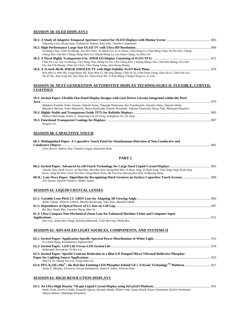# **SESSION 58: OLED DISPLAYS I**

| Takenobu Usui, Hiroto Sato, Yoshimichi Takano, Keiji Ishii, Toshihiro Yamamoto                                                                                                                                       |  |
|----------------------------------------------------------------------------------------------------------------------------------------------------------------------------------------------------------------------|--|
|                                                                                                                                                                                                                      |  |
| Yu-Hung Chen, Chih-An Huang, Tsu-Wei Chen, Yu-Shian Lin, Yi-Ju Hsiao, Chia-Yang Lu, Chun-Ming Chao, Ya-Pei Kuo, Cheng-                                                                                               |  |
| Chung Nen, Fan-Wei Chang, Hong Shen Lin, Hsueh-Hsing Lu, Lee-Hsun Chang, Yu-Hsin Lin                                                                                                                                 |  |
|                                                                                                                                                                                                                      |  |
| Chia-Tse Lee, Yen-Yu Huang, Chi-Chung Tsai, Sheng-Fa Liu, Che-Cheng Kuo, Chuang-Hung Chiu, Chin-Hai Huang, En-Chih                                                                                                   |  |
| Liu, Szu-Chi Huang, Chun-Lin Chen, Chin-Tsung Liang, Jian-Syong Huang                                                                                                                                                |  |
|                                                                                                                                                                                                                      |  |
| Wen-Hui Li, Wen Shi, Long-Oiang Shi, Xiao-Wen Ly, He-Jing Zhang, Chih-Yu Su, Chih-Yuan Tseng, Xian-Jie Li, Chih-Che Liu,<br>Tai-Pi Wu, Xiao-Ling Wu, Kai-Yuan Ko, Yuan-Chun Wu, Yi-Fan Wang, Chang-Cheng Lo, A. Lien |  |

### **SESSION 59: NEXT-GENERATION AUTOMOTIVE DISPLAY TECHNOLOGIES II: FLEXIBLE, CURVED, COATINGS**

| 59.1: Invited Paper: Flexible Flat-Panel Display Designs with Gate Driver Circuits Integrated within the Pixel        |  |
|-----------------------------------------------------------------------------------------------------------------------|--|
|                                                                                                                       |  |
| Hidefumi Yoshida, Kohei Tanaka, Takeshi Noma, Takayuki Nishiyama, Ryo Yonebayashi, Yasuhiro Nasu, Takeshi Ishida,     |  |
| Mitsuhiro Murata, Yohei Nakanishi, Shinya Kadowaki, Hisashi Watanabe, Takuma Tomotoshi, Ryuzo Yuki, Masayuki Kanehiro |  |
|                                                                                                                       |  |
| Mallory Mativenga, Xiulin Li, Jaegwang Um, Di Geng, Seonghyun Jin, Jin Jang                                           |  |
|                                                                                                                       |  |
| Songwei Lu                                                                                                            |  |

# **SESSION 60: CAPACITIVE TOUCH**

| 60.1: Distinguished Paper: A Capacitive Touch Panel for Simultaneous Detection of Non-Conductive and |  |
|------------------------------------------------------------------------------------------------------|--|
|                                                                                                      |  |
| Chris Brown, Andrew Kay, Yasuhiro Sugita, Kazutoshi Kida                                             |  |

*Chris Brown, Andrew Kay, Yasuhiro Sugita, Kazutoshi Kida* 

# **PART 2**

| Cheolse Kim, Deuk Su Lee, Ju Han Kim, Hun Bae Kim, Seung Rok Shin, Ji Hyun Jung, In Hyuk Song, Chul Sang Jang, Keuk Sang |  |
|--------------------------------------------------------------------------------------------------------------------------|--|
| Kwon, Sung Ho Kim, Geon Tae Kim, Jeong Hwan Yoon, Bu-Yeol Lee, Byeong Koo Kim, In-Byeong Kang                            |  |
| Jiro Yanase, Kenichi Takatori, Hideki Asada                                                                              |  |
| <b>SESSION 61: LIQUID-CRYSTAL LENSES</b>                                                                                 |  |
| Ayako Takagi, Shinichi Uehara, Masako Kashiwagi, Yuko Kizu, Masahiro Baba                                                |  |
| Rui Bao, Huafu Mai, Guoxian Zhang, Mao Ye                                                                                |  |
| 61.3: Ultra-Compact Non-Mechanical Zoom Lens for Enhanced Machine Vision and Computer Input                              |  |
| Kun Gao, Hsien-Hui Cheng, Achintya Bhowmik, Colin McGinty, Philip Bos                                                    |  |
| SESSION 62: ADVANCED LIGHT SOURCES, COMPONENTS, AND SYSTEMS II                                                           |  |
| Po-Chieh Hung, Konstantinos Papamichael                                                                                  |  |
| Nadarajah Narendran, Yi-Wei Liu                                                                                          |  |
| 62.3: Invited Paper: Speckle Contrast Reduction in a Blue-LD Pumped Micro-Vibrated-Reflective Phosphor                   |  |
| Shih-Yu Tu, Hoang Yan Lin, Tsung-Xian Lee                                                                                |  |

**62.4: PFS, K2SiF6:Mn4+: the Red-line Emitting LED Phosphor behind GE's TriGain TechnologyTM Platform**.................................927 *James E. Murphy, Florencio Garcia-Santamaria, Anant A. Setlur, Srinivas Sista* 

# **SESSION 63: HIGH-RESOLUTION DISPLAYS**

| Naoki Ueda, Seiichi Uchida, Yasuyuki Ogawa, Kuniaki Okada, Akihiro Oda, Sumio Katoh, Kaoru Yamamoto, Keiichi Yamamoto, |  |
|------------------------------------------------------------------------------------------------------------------------|--|
| Takuya Matsuo, Hidetsugu Kawamori                                                                                      |  |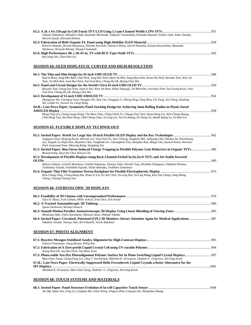| Takashi Nakamura, Masahiro Tada, Kazuhide Mochizuki, Takanori Tsunashima, Hirotaka Hayashi, Yoshiro Aoki, Yukio Tanaka, |  |
|-------------------------------------------------------------------------------------------------------------------------|--|
| Daiichi Suzuki, Hiroyuki Kimura                                                                                         |  |
|                                                                                                                         |  |
| Kenichi Okazaki, Hiroshi Kanemura, Daisuke Kurosaki, Yukinori Shima, Junichi Koezuka, Susumu Kawashima, Masataka        |  |
| Shiokawa, Hiroyuki Miyake, Shunpei Yamazaki                                                                             |  |
|                                                                                                                         |  |

# **SESSION 64: OLED DISPLAYS II: CURVED AND HIGH-RESOLUTION**

*Bo-Liang Yeh, Chun-Nan Lin* 

|                                                                                                                                                                                                                                         | 946  |
|-----------------------------------------------------------------------------------------------------------------------------------------------------------------------------------------------------------------------------------------|------|
| Koichi Miwa, Sung-Min Baik, Chul Park, Jong-Hee Park, Hyun-Su Shin, Sang-Hyun Kim, Kwan-Ho Park, Ryosuke Tani, Woo-Jin<br>Nam, Jin-Mok Kim, Joon-Kyu Park, Pan-Youl Kim, Chang-Ho Oh, Byung-Chul Ahn                                    |      |
|                                                                                                                                                                                                                                         | .950 |
| Ryosuke Tani, Joong-Sun Yoon, Soon-Ii Yun, Woo-Jin Nam, Shinji Takasugi, Jin-Mok Kim, Joon-Kyu Park, Sun-Young Kwon, Pan-<br>Youl Kim, Chang-Ho Oh, Byung-Chul Ahn                                                                      |      |
|                                                                                                                                                                                                                                         | 954  |
| Zhongyuan Wu, Guangcai Yuan, Hongjun Xie, Kun Cao, Yongqian Li, Siheng Zeng, Yang Zhou, Fei Yang, Jun Cheng, Huaiting<br>Shi, Lankai Ye, Jianwei Yu, Gang Wang                                                                          |      |
| 64.4L: Late-News Paper: Symmetric Panel Stacking Design for Achieving 3mm Rolling Radius in Plastic-based                                                                                                                               |      |
|                                                                                                                                                                                                                                         | 958  |
| Meng-Ting Lee, Cheng-Liang Wang, Chi-Shun Chan, Ching-Chieh Fu, Chung-Chia Chen, Kuan-Heng Lin, Wen-Chung Huang,<br>Chih-Hung Tsai, Zai-Xien Weng, Chih-Cheng Chan, Yu-Ling Lin, Tzu-Yu Huang, Po-Yang Lin, Hsueh-Hsing Lu, Yu-Hsin Lin |      |
| <b>SESSION 65: FLEXIBLE DISPLAY TECHNOLOGY</b>                                                                                                                                                                                          |      |
|                                                                                                                                                                                                                                         | .962 |
| Jonggeun Yoon, Hoiyong Kwon, Mireum Lee, Youn-Yeol Yu, Nuri Cheong, Sungjoon Min, Jaekyung Choi, Hunbae Im, Kwonhyung                                                                                                                   |      |
| Lee, Jungsik Jo, Hojin Kim, Hyunmin Choi, Yongbaek Lee, Choongkeun Yoo, Seunghee Kuk, Mingu Cho, Seyeoul Kwon, Weonseo                                                                                                                  |      |
| Park, Soovoung Yoon, Inbyeong Kang, Sangdeog Yeo                                                                                                                                                                                        |      |

| Turn, Sooyoung Toon, Inoycong Kung, Sungueog Teo                                                                       |     |
|------------------------------------------------------------------------------------------------------------------------|-----|
|                                                                                                                        |     |
| Boseok Kang, Hyun Ho Choi, Kilwon Cho                                                                                  |     |
| 65.3: Development of Flexible Displays using Back-Channel-Etched In.Sn.Zn.O TFTs and Air-Stable Inverted               |     |
|                                                                                                                        | 969 |
| Mitsuru Nakata, Genichi Motomura, Yoshiki Nakajima, Tatsuya Takei, Hiroshi Tsuji, Hirohiko Fukagawa, Takahisa Shimizu, |     |
| Toshimitsu Tsuzuki, Yoshihide Fujisaki, Naoki Shimidzu, Toshihiro Yamamoto                                             |     |
|                                                                                                                        |     |

| Wen-Chung Tang, Cheng-Hang Hsu, Kuan-Yi Lin, Po-Wei Chen, Yu-Ling Hsu, Yu-Ling Wang, Kuo-Yan Chang, Yung-Sheng |  |
|----------------------------------------------------------------------------------------------------------------|--|
| Chang, Chuang-Chuang Tsai                                                                                      |  |

# **SESSION 66: STEREOSCOPIC 3D DISPLAYS**

| Gary D. Sharp, Scott Gilman, Miller Schuck, Evan Deis, Erik Arend |  |
|-------------------------------------------------------------------|--|
|                                                                   |  |
| Ouinn Smithwick, Michael Honeck                                   |  |
|                                                                   |  |
| Munekazu Date, Tohru Kawakami, Mutsumi Sasai, Hideaki Takada      |  |
| Takahito Tanabe, Tatsuya Sato, Kei Fukaishi, Yuichi Kakubari      |  |

# **SESSION 67: PHOTO ALIGNMENT**

| Valerie Finnemeyer, Doug Bryant, Philip Bos                                                                      |  |
|------------------------------------------------------------------------------------------------------------------|--|
|                                                                                                                  |  |
| Seung-Won Oh, Jun-Hee Park, Tae-Hoon Yoon                                                                        |  |
|                                                                                                                  |  |
| Man-Chun Tseng, Chung-Yung Lee, Oleg V. Yaroshchuk, Abhishek K. Srivastava, Vladimir G. Chigrinov, Hoi-Sing Kwok |  |
| 67.4L: Late-News Paper: Electrically Suppressed Helix Ferroelectric Liquid Crystals a better Alternative for the |  |
| 1001                                                                                                             |  |
| Abhishek K. Srivastava, Man-Chun Tseng, Vladimir. G. Chigrinov, Hoi-Sing Kwok                                    |  |

# **SESSION 68: TOUCH SYSTEMS AND MATERIALS**

| Jun Ma, Qijun Yao, Feng Lu, Conghua Ma, Lihua Wang, Xingyao Zhou, Lingxiao Du, Zhongshou Huang |  |
|------------------------------------------------------------------------------------------------|--|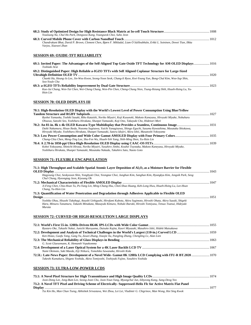| Younsung Na, Chul Ho Park, Dongwoo Kang, Youngseok Choi, Suho Jeon                                                                                   |  |
|------------------------------------------------------------------------------------------------------------------------------------------------------|--|
|                                                                                                                                                      |  |
| Chandrakant Bhat, David P. Brown, Clement Chen, Bjørn F. Mikladal, Liam Ó Súilleabháin, Erkki L. Soininen, Dewei Tian, Ilkka<br>Varjos, Xiaowei Zhan |  |
| <b>SESSION 69: OXIDE-TFT RELIABILITY</b>                                                                                                             |  |
| 69.1: Invited Paper: The Advantages of the Self-Aligned Top Gate Oxide TFT Technology for AM-OLED Displays  1016<br>Toshiaki Arai                    |  |
| 69.2: Distinguished Paper: High Reliable a-IGZO TFTs with Self Aligned Coplanar Structure for Large-Sized                                            |  |
|                                                                                                                                                      |  |
| Chanki Ha, Heung-Jo Lee, Jin-Woo Kwon, Seong-Yoon Seok, Chang-li Ryoo, Kwi-Young Yun, Bong-Chul Kim, Woo-Sup Shin,<br>Soo-Youle Cha                  |  |
|                                                                                                                                                      |  |

*Kuo-Jui Chang, Wen-Tai Chen, Wei-Cheng Chang, Wen-Pin Chen, Cheng-Chung Nien, Tsung-Hsiang Shih, Hsueh-Hsing Lu, Yu-*

# **SESSION 70: OLED DISPLAYS III**

*Hsin Lin* 

| 70.1: High-Resolution OLED Display with the World's Lowest Level of Power Consumption Using Blue/Yellow                  |  |
|--------------------------------------------------------------------------------------------------------------------------|--|
|                                                                                                                          |  |
| Ryohei Yamaoka, Toshiki Sasaki, Riho Kataishi, Noriko Miyairi, Koji Kusunoki, Makoto Kaneyasu, Hiroyuki Miyake, Nobuharu |  |
| Ohsawa, Satoshi Seo, Yoshiharu Hirakata, Shunpei Yamazaki, Koji Ono, Takayuki Cho, Hidenori Mori                         |  |
|                                                                                                                          |  |
| Daiki Nakamura, Hisao Ikeda, Nozomu Sugisawa, Yuichi Yanagisawa, Shingo Eguchi, Susumu Kawashima, Masataka Shiokawa,     |  |
| Hiroyuki Miyake, Yoshiharu Hirakata, Shunpei Yamazaki, Satoru Idojiri, Akira Ishii, Masatoshi Yokoyama                   |  |
|                                                                                                                          |  |
| Chung-Chia Chen, Meng-Ting Lee, Shu-Fen Wu, Hsueh-Yeh Yang, Shih-Ming Shen, Yu-Hsin Lin                                  |  |
|                                                                                                                          |  |
| Kohei Yokoyama, Shinichi Hirasa, Noriko Miyairi, Yasuhiro Jimbo, Kouhei Toyotaka, Makoto Kaneyasu, Hiroyuki Miyake,      |  |
| Yoshiharu Hirakata, Shunpei Yamazaki, Masataka Nakada, Takahiro Sato, Naoto Goto                                         |  |

#### **SESSION 71: FLEXIBLE ENCAPSULATION**

| 71.1: High Throughput and Scalable Spatial Atomic Layer Deposition of Al <sub>2</sub> O <sub>3</sub> as a Moisture Barrier for Flexible                                                                                                                     |      |
|-------------------------------------------------------------------------------------------------------------------------------------------------------------------------------------------------------------------------------------------------------------|------|
|                                                                                                                                                                                                                                                             |      |
| Hagyoung Choi, Seokyooon Shin, Yonghyuk Choi, Yeongtae Choi, Junghun Kim, Sanghun Kim, Hyungkyu Kim, Jongsik Park, Seog<br>Chul Chung, Hyeongtag Jeon, Kiyoung Oh                                                                                           |      |
|                                                                                                                                                                                                                                                             |      |
| Ji-Feng Chen, Chia-Hsun Tu, Po-Yang Lin, Ming-Chang Hsu, Chen-Shuo Huang, Keh-Long Hwu, Hsueh-Hsing Lu, Lee-Hsun<br>Chang, Yu-Hsin Lin                                                                                                                      |      |
| 71.3: Quantification of Water Penetration and Degradation through Adhesives Applicable to Flexible OLED                                                                                                                                                     |      |
| Design.                                                                                                                                                                                                                                                     | 1051 |
| Yoshiko Ohzu, Hisashi Takahagi, Atsushi Uehigashi, Hirofumi Kubota, Akira Sugimoto, Hiroshi Ohata, Akira Suzuki, Shigeki<br>Hara, Mitsuru Tanamura, Takashi Minakata, Masayuki Kimura, Nobuki Ibaraki, Hiroshi Tomiyasu, Tetsuo Tsutsui, Hideyuki<br>Murata |      |

#### **SESSION 72: CURVED OR HIGH-RESOLUTION LARGE DISPLAYS**

| Ryutaro Oke, Takashi Nakai, Junichi Maruyama, Daisuke Kajita, Kaori Miyazaki, Masahiro Ishii, Hideki Matsukawa |  |
|----------------------------------------------------------------------------------------------------------------|--|
|                                                                                                                |  |
| Ken Hsiao, Guofu Tang, Gang Yu, Zuwei Zhang, Xiaojie Xu, Pangling Zhang, Chengling Lv, Alan Lien               |  |
|                                                                                                                |  |
| G. Scott Glaesemann, K. Hemanth Vepakomma                                                                      |  |
|                                                                                                                |  |
| Nami Okimoto, Saki Maeda, Eiji Niikura, Tomohiko Sawanaka, Hiroshi Kida                                        |  |
| 72.5L: Late-News Paper: Development of a Novel Wide- Gamut 8K 120Hz LCD Complying with ITU-R BT.2020  1070     |  |
| Takeshi Kumakura, Shigeto Yoshida, Akira Tomiyoshi, Toshiyuki Fujine, Yasuhiro Yoshida                         |  |

# **SESSION 73: ULTRA-LOW-POWER LCDS**

| Joon-Dong Lee, Jong-Bum Lee, Seong-Joon Cho, Joon-Youn Yang, Myungchul Jun, Inbyeong Kang, Sang-Deog Yeo      |      |
|---------------------------------------------------------------------------------------------------------------|------|
| 73.2: A Novel TFT Pixel and Driving Scheme of Electrically- Suppressed-Helix Flc for Active Matrix Flat Panel |      |
| <b>Display</b>                                                                                                | 1077 |

*Tsz Kin Ho, Man Chun Tseng, Abhishek Srivastava, Wei Zhou, Lei Lei, Vladimir G. Chigrinov, Man Wong, Hoi Sing Kwok*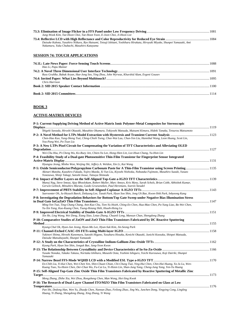| Jung-Wook Kim, Tae-Hoon Choi, Tae-Hoon Yoon, E-Joon Choi, Ji-Hoon Lee                                                       |  |
|-----------------------------------------------------------------------------------------------------------------------------|--|
|                                                                                                                             |  |
| Daisuke Kubota, Yasuhiro Niikura, Ryo Hatsumi, Tetsuji Ishitani, Yoshiharu Hirakata, Hiroyuki Miyake, Shunpei Yamazaki, Ami |  |
| Nakamura, Yuka Chubachi, Masahiro Katayama                                                                                  |  |

# **SESSION 74: TOUCH APPLICATIONS**

| Hao Li, Papu Maniar                                                                           |  |
|-----------------------------------------------------------------------------------------------|--|
|                                                                                               |  |
| Russ Gruhlke, Babak Aryan, Hae-Jong Seo, Ying Zhou, John Wyrwas, Khurshid Alam, Evgeni Gousev |  |
|                                                                                               |  |
| Chris Harrison                                                                                |  |
|                                                                                               |  |
|                                                                                               |  |
|                                                                                               |  |

# **BOOK 3**

# **ACTIVE-MATRIX DEVICES**

| P-1: Current-Supplying Driving Method of Active-Matrix Ionic Polymer-Metal Composites for Stereoscopic                                                                                                                                    |  |
|-------------------------------------------------------------------------------------------------------------------------------------------------------------------------------------------------------------------------------------------|--|
|                                                                                                                                                                                                                                           |  |
| Shigeki Sawada, Hiroshi Okazaki, Masahito Okumura, Tokiyoshi Matsuda, Mutsumi Kimura, Hideki Tanaka, Tetsurou Matsumoto                                                                                                                   |  |
|                                                                                                                                                                                                                                           |  |
| Chen-Hao Kuo, Yung-Sheng Tsai, Ching-Chieh Tseng, Chee-Wai Lau, Chun-Yen Liu, Hannibal Wang, Leon Huang, Scott Lin,<br>You-Pang Wei, Po-Tsun Liu                                                                                          |  |
| P-3: A New LTPs Pixel Circuit for Compensating the Variation of TFT Characteristics and Alleviating OLED                                                                                                                                  |  |
|                                                                                                                                                                                                                                           |  |
| Wei-Chu Hsu, Pi-Cheng Wu, Ko-Ruey Jen, Chien-Ya Lee, Hong-Shen Lin, Lee-Hsun Chang, Yu-Hsin Lin                                                                                                                                           |  |
| P-4: Feasibility Study of a Dual-gate Photosensitive Thin-Film Transistor for Fingerprint Sensor Integrated                                                                                                                               |  |
|                                                                                                                                                                                                                                           |  |
| Hyungsu Jeong, Minho Won, Weijing Shi, Jeffery A. Weldon, Xin Li, Kai Wang                                                                                                                                                                |  |
| P-5: Oxide Semiconductor/Polypropylene Carbonate Paste for A Thin-Film Transistor using Screen Printing 1135                                                                                                                              |  |
| Akinari Matoba, Kazuhiro Fukada, Yojiro Maeda, Xi Yun Liu, Kiyoshi Nishioka, Nobutaka Fujimoto, Masahiro Suzuki, Yasuto<br>Yonezawa, Shinji Takagi, Satoshi Inoue, Tatsuya Shimoda                                                        |  |
|                                                                                                                                                                                                                                           |  |
| Manoj Nag, Steve Smout, Ajay Bhoolokam, Robert Muller, Marc Ameys, Kris Myny, Sarah Schols, Brian Cobb, Abhishek Kumar,<br>Gerwin Gelinck, Mitsuhiro Murata, Guido Groeseneken, Paul Heremans, Soeren Steudel                             |  |
|                                                                                                                                                                                                                                           |  |
| Saeroonter Oh, Ju-Heyuck Baeck, Dohyung Lee, Taeuk Park, Hyun Soo Shin, Jong Uk Bae, Kwon-Shik Park, Inbyeong Kang                                                                                                                        |  |
| P-8: Investigating the Degradation Behaviors for Bottom/Top Gate Sweep under Negative Bias Illumination Stress                                                                                                                            |  |
|                                                                                                                                                                                                                                           |  |
| Ming-Yen Tsai, Ting-Chang Chang, Ann-Kuo Chu, Tien-Yu Hsieh, Ching-En Chen, Hua-Mao Chen, Po-Yung Liao, Bo-Wei Chen,<br>Yu-Xin Yang, Kuo-Kuang Chen, Tsung-Hsiang Shih, Hsueh-Hsing Lu                                                    |  |
|                                                                                                                                                                                                                                           |  |
| Xin He, Ling Wang, Wei Deng, Xiang Xiao, Letao Zhang, Chuanli Leng, Mansun Chan, Shengdong Zhang                                                                                                                                          |  |
| P-10: Comparative Studies of ZnON and ZnO Thin Film Transistors Fabricated by DC Reactive Sputtering                                                                                                                                      |  |
|                                                                                                                                                                                                                                           |  |
| Kyung-Chul Ok, Hyun-Jun Jeong, Hyun-Mo Lee, Hyun-Suk Kim, Jin-Seong Park                                                                                                                                                                  |  |
|                                                                                                                                                                                                                                           |  |
| Yukinori Shima, Hiroshi Kanemura, Satoshi Higano, Yasuharu Hosaka, Kenichi Okazaki, Junichi Koezuka, Shinpei Matsuda,<br>Daisuke Matsubayashi, Shunpei Yamazaki                                                                           |  |
|                                                                                                                                                                                                                                           |  |
| Kyung Park, Hyun Soo Shin, Jonguk Bae, Jang-Yeon Kwon                                                                                                                                                                                     |  |
|                                                                                                                                                                                                                                           |  |
| Yusuke Nonaka, Takako Takasu, Noritaka Ishihara, Masashi Oota, Yoshimi Ishiguro, Yoichi Kurosawa, Koji Dairiki, Shunpei<br>Yamazaki                                                                                                       |  |
|                                                                                                                                                                                                                                           |  |
| En-Chih Liu, Yi-Kai Chen, Wei-Chen Yen, Shin-Chuan Chian, Chi-Chung Tsai, Ying-Hui Chen, Chin-Hai Huang, Ya-Ju Lu, Wen-<br>Kuang Tsao, Yu-Hsien Chen, Der-Chun Wu, Fu-Cai Lu, Yi-Hsien Lin, Shan-Jung Yang, Cheng-Jung Yang, Yen-Yu Huang |  |
| P-15: Self-Aligned Top-Gate Zinc Oxide Thin Film Transistors Fabricated by Reactive Sputtering of Metallic Zinc                                                                                                                           |  |
|                                                                                                                                                                                                                                           |  |
| Meng Zhang, Zhihe Xia, Wei Zhou, Rongsheng Chen, Man Wong, Hoi-Sing Kwok                                                                                                                                                                  |  |
| P-16: The Research of Dual-Layer Channel ITO/MZO Thin Film Transistors Fabricated on Glass at Low                                                                                                                                         |  |
|                                                                                                                                                                                                                                           |  |
| Pan Shi, Dedong Han, Wen Yu, Zhuofa Chen, Nannan Zhao, Feilong Zhao, Jing Wu, Junchen Dong, Yingying Cong, Lingling<br>Huang, Yi Zhang, Shengdong Zhang, Xing Zhang, Yi Wang                                                              |  |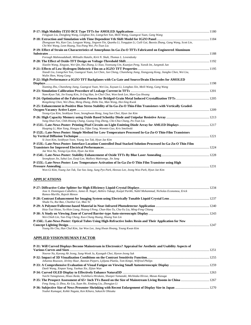| Fengjuan Liu, Dongfang Wang, Longbao Xin, Liangchen Yan, Meili Wang, Guangcai Yuan, Gang Wang                                                                                   |  |
|---------------------------------------------------------------------------------------------------------------------------------------------------------------------------------|--|
|                                                                                                                                                                                 |  |
| Zhongyuan Wu, Kun Cao, Longyan Wang, Jingwen Yin, Quanhu Li, Yongqian Li, Cuili Gai, Baoxia Zhang, Gang Wang, Scott Lin,<br>Chi-Wei Wang, Leon Huang, You-Pang Wei, Po-Tsun Liu |  |
| P-19: Effect of Strain on Characteristics of Amorphous In-Ga-Zn-O TFTs Fabricated on Engineered Aluminum                                                                        |  |
|                                                                                                                                                                                 |  |
| Forough Mahmoudabadi, Miltiadis Hatalis, Kirit N. Shah, Thomas L. Levendusky                                                                                                    |  |
|                                                                                                                                                                                 |  |
| Xiaolin Wang, Xingyao, Wei Qin, Hui Zhang, Li Xiao, Yoonsung Um, Kuanjun Peng, Yunsik Im, Jungmok Jun                                                                           |  |
|                                                                                                                                                                                 |  |
| Xiaodi Liu, Liangchen Yan, Guangcai Yuan, Lei Chen, Jun Cheng, Chunsheng Jiang, Xiangyong Kong, Jiangbo Chen, Wei Liu,<br>Wulin Shen, Wang Gang                                 |  |
| P-22: High Performance a-IGZO TFT Backplanes with Cu Gate and Source/Drain Electrodes for AMOLED                                                                                |  |
|                                                                                                                                                                                 |  |
| Xiaming Zhu, Chunsheng Jiang, Guangcai Yuan, Wei Liu, Xuyuan Li, Longbao Xin, Meili Wang, Gang Wang                                                                             |  |
|                                                                                                                                                                                 |  |
| Nam-Kyun Tak, Jin-Young Kim, Ji-Ung Han, In-Chol Choi, Won-Seok Lee, Man-Gyu Hwang                                                                                              |  |
| Rongsheng Chen, Wei Zhou, Meng Zhang, Zhihe Xia, Man Wong, Hoi-Sing Kwok                                                                                                        |  |
| P-25: Enhancement in Positive Bias Stress Stability of In-Ga-Zn-O Thin-Film Transistors with Vertically Graded-                                                                 |  |
|                                                                                                                                                                                 |  |
| Yeong-Gyu Kim, Seokhyun Yoon, Seonghwan Hong, Jong Sun Choi, Hyun Jae Kim                                                                                                       |  |
|                                                                                                                                                                                 |  |
| Yang-Shun Fan, Chih-Hsiang Chang, Guang-Ting Zheng, Che-Chia Chang, Po-Tsun Liu                                                                                                 |  |
| Huaping Li, Man Yang, Hongyu Liu, Yifan Tang, Wenmin Guo, Kris Smolinski                                                                                                        |  |
| P-152L: Late-News Poster: Simple Method for Low-Temperature Processed In-Ga-Zn-O Thin-Film Transistors                                                                          |  |
|                                                                                                                                                                                 |  |
| Si Joon Kim, Seokhyun Yoon, Young Jun Tak, Hyun Jae Kim                                                                                                                         |  |
| P-153L: Late-News Poster: Interface Location Controlled Dual Stacked Solution-Processed In-Ga-Zn-O Thin Film                                                                    |  |
|                                                                                                                                                                                 |  |
| Jae Won Na, Yeong-Gyu Kim, Hyun Jae Kim                                                                                                                                         |  |
| Seonghyun Jin, Suhui Lee, Eunji Lee, Mallory Mativenga, Jin Jang                                                                                                                |  |
| P-155L: Late-News Poster: Low Temperature Activation of In-Ga-Zn-O Thin Film Transistor using High                                                                              |  |
|                                                                                                                                                                                 |  |
| Won-Gi Kim, Young Jun Tak, Tae Soo Jung, Sung Pyo Park, Heesoo Lee, Jeong Woo Park, Hyun Jae Kim                                                                                |  |

# **APPLICATIONS**

| Jose A. Dominguez-Caballero, James R. Nagel, Akihiro Takagi, Kunjal Parikh, Nabil Mohammad, Nicholas Economou, Erick |  |
|----------------------------------------------------------------------------------------------------------------------|--|
| Ramos-Murillo, Rajesh Menon                                                                                          |  |
|                                                                                                                      |  |
| Shuda Yu, Rui Bao, Chunhui Cui, Mao Ye                                                                               |  |
|                                                                                                                      |  |
| Hsia-Tsai Hsiao, Yu-Hsin Liang, Hsiang-I Peng, Chun-Hao Tu, Chu-Yu Liu, Ming-Feng Chiang                             |  |
|                                                                                                                      |  |
| Wei-Chieh Lin, Yun-Ting Cheng, Kuo-Chung Huang, Hoang Yan Lin                                                        |  |
| P-156L: Late-News Poster: Optical Tubes Using High-Refractive Index Resin and Their Application for New              |  |
|                                                                                                                      |  |
| Young Ho Cha, Hun Chul Kim, Jae Woo Lee, Jang Hwan Hwang, Young Kwan Kim                                             |  |

# **APPLIED VISION/HUMAN FACTOR**

| P-31: Will Curved Displays Become Mainstream in Electronics? Appraisal for Aesthetic and Usability Aspects of |  |
|---------------------------------------------------------------------------------------------------------------|--|
|                                                                                                               |  |
| Nooree Na, Kyeong Ah Jeong, Sung-Wook Ju, Kyungah Choi, Hyeon-Jeong Suk                                       |  |
|                                                                                                               |  |
| Johanna Rousson, Jérémy Haar, Bastian Piepers, Ljiljana Platiša, Tom Kimpe, Wilfried Philips                  |  |
|                                                                                                               |  |
| Danli Wang, Xinpan Yang, Yaohua Xie, Zijian Wan                                                               |  |
|                                                                                                               |  |
| Yuichi Yanagisawa, Hisao Ikeda, Yoshiharu Hirakata, Shunpei Yamazaki, Michitaka Hirose, Masao Kasuga          |  |
|                                                                                                               |  |
| Feng Jiang, Li Zhou, Ke Liu, Xuan He, Xindong Liu, Zhongjun Li                                                |  |
|                                                                                                               |  |
| Youhei Kumagai, Kohki Nagata, Ken Kihara, Sakuichi Ohtsuka                                                    |  |
|                                                                                                               |  |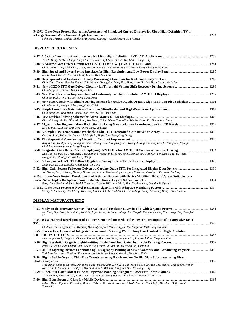| P-157L: Late-News Poster: Subjective Assessment of Simulated Curved Displays for Ultra-High-Definition TV in |  |
|--------------------------------------------------------------------------------------------------------------|--|
|                                                                                                              |  |
| Sakuichi Ohtsuka, Chihiro Imabayashi, Youhei Kumagai, Kohki Nagata, Ken Kihara                               |  |

# **DISPLAY ELECTRONICS**

| Yu-Chi Kang, Li-Wei Chang, Yung-Chih Wu, Wei-Ting Chen, Chia-Pu Ho, Chih-Hsiang Yang                                                                             |  |
|------------------------------------------------------------------------------------------------------------------------------------------------------------------|--|
|                                                                                                                                                                  |  |
| Chun-Da Tu, Yung-Chih Chen, Cheng-Han Huang, Kai-Wei Hong, Hsiang-Sheng Chang, Chung-Hong Kuo                                                                    |  |
| Hsi-En Liu, Chun-Jen Su, Chih-Kang Cheng, Wen-Kuen Liu                                                                                                           |  |
| Chia-Chun Chang, Jian-Fa Huang, Chin-Hsiang Chang, Che-Ming Hsu, Hong-Shen Lin, Lee-Hsun Chang, Yusin Lin                                                        |  |
| Chih-Lung Lin, Chia-En Wu, Ching-En Lee                                                                                                                          |  |
| Chih-Lung Lin, Po-Chun Lai, Ming-Yang Deng                                                                                                                       |  |
| P-44: New Pixel Circuit with Simple Driving Scheme for Active-Matrix Organic Light-Emitting Diode Displays 1301<br>Chih-Lung Lin, Po-Syun Chen, Ping-Shiao Shieh |  |
|                                                                                                                                                                  |  |
| Chih-Lung Lin, Mao-Hsun Cheng, Yuan-Wei Du, Po-Cheng Lai                                                                                                         |  |
|                                                                                                                                                                  |  |
| Chuanli Leng, Xin He, Hing-Mo Lam, Xue Meng, Cuicui Wang, Yuan-Chun Wu, Kai-Yuan Ko, Shengdong Zhang                                                             |  |
| P-47: Algorithm for Regional Mura Reduction By Using Gamma-Curve Transformation in LCD Panels1312<br>Hou-Liang Hu, Li-Wei Chu, Ping-Sheng Kuo, Alan Lien         |  |
|                                                                                                                                                                  |  |
| Congwei Liao, Zhijin Hu, Junmei Li, Wenjie Li, Shijie Cao, Shengdong Zhang                                                                                       |  |
|                                                                                                                                                                  |  |
| Kyujin Kim, Wookyu Sang, Joungmi Choi, Ooksang Yoo, Youngsung Cho, Hyunguk Jang, Jin-Sang Lee, Ju-Young Lee, Myung-<br>Chul Jun, Inbyeong Kang, Sang-Deog Yeo    |  |
|                                                                                                                                                                  |  |
| Kun Cao, Quanhu Li, Chen Song, Baoxia Zhang, Yongqian Li, Song Meng, Jingwen Yin, Cuili Gai, Longyan Wang, Yu Wang,<br>Hongjun Xie, Zhongyuan Wu, Gang Wang      |  |
| Xiuling Li, Di Geng, Mallory Mativenga, Jin Jang                                                                                                                 |  |
|                                                                                                                                                                  |  |
| Jae Gwang Um, Di Geng, Mallory Mativenga, Ravi K. Mruthyunjaya, Gregory N. Heiler, Timothy J. Tredwell, Jin Jang                                                 |  |
| P-158L: Late-News Poster: Development of A Silicon Process with Device Mobility >500 Cm <sup>2</sup> /V-Sec Suitable for a                                       |  |
|                                                                                                                                                                  |  |
| Feng Chen, Roohollah Samadzadeh Tarighat, Graham Hill, John Vieth, Siva Sivoththaman, Douglas R. Dykaar                                                          |  |
|                                                                                                                                                                  |  |
| Shang-Yu Su, Sheng-Wen Cheng, Hui-Feng Lin, Hui Chuke, Yu-Chin Chu, Shin-Ting Huang, Ren-Lang Dong, Chih-Yueh Lo                                                 |  |
| DISPLAY MANUFACTURING                                                                                                                                            |  |
|                                                                                                                                                                  |  |
| Na Zhao, Qiyu Shen, Gaofei Shi, Xufei Xu, Yijun Wang, Jie Song, Jidong Han, Yangzhi Yin, Dong Chen, Chuncheng Che, Chengkui<br>Li                                |  |
| D. 54. WCC Motorial Development of FIT M: Ctyrratural for Doduce the Devroy Congruention of a Longe Circ HIID                                                    |  |

| P-54: WCS Material Development of FIT M+ Structural for Reduce the Power Consumption of a Large Size UHD                                                                                                             | $-1344$ |
|----------------------------------------------------------------------------------------------------------------------------------------------------------------------------------------------------------------------|---------|
| Chulho Park, Eungyong Kim, Woojung Byun, Myungwoo Nam, Sangjeon Yu, Jongwook Park, Sangmun Shin                                                                                                                      |         |
| P-55: Process Development of Integrated Vcom and PAS using Wet Etching Bias Control for High Resolution<br>1348                                                                                                      |         |
| Heeyoung Kwack, Eungyong Kim, Chulho Park, Myungwoo Nam, Sangjeon Yu, Jongwook Park, Sangmun Shin                                                                                                                    |         |
| Peng-Yu Chen, Chien-Chuan Chen, Cheng-Chih Hsieh, Ju-Mei Lin, Yu-Syuan Lin, Yusin Lin                                                                                                                                |         |
| P-57: OLED Lighting Devices Fabricated by Flexography Printing of Silver Nanowire and Conducting Polymer 1355<br>Tadahiro Furukawa, Norifumi Kawamura, Junichi Inoue, Hitoshi Nakada, Mitsuhiro Koden                |         |
| P-58: Highly Stable Organic Thin-Film Transistor array Fabricated on Gorilla Glass Substrates using Direct                                                                                                           |         |
|                                                                                                                                                                                                                      | 1359    |
| Yingtaoxie, Shihong Ouyang, Dongping Wang, Dalong Zhu, Xin Xu, Te Tan, Wen-Ya Lee, Zhenan Bao, James R. Matthews, Weijun<br>Niu, Kristi L. Simonton, Timothy E. Myers, Robert A. Bellman, Minggian He, Hon Hang Fong |         |
|                                                                                                                                                                                                                      |         |
| Yi-Wen Chiu, Sheng-Fa Liu, Ji-Yi Chiou, Yen-Wei Liu, Ming-Hsiang Lai, Ching-Yu Huang, Yi-Fan Niu                                                                                                                     |         |
|                                                                                                                                                                                                                      |         |
| Hikaru Ikeda, Kiyotaka Kinoshita, Mutumu Fukada, Kosuke Kawamoto, Takashi Murata, Ken Choju, Masahiko Ohji, Hiroki<br>Yamazaki                                                                                       |         |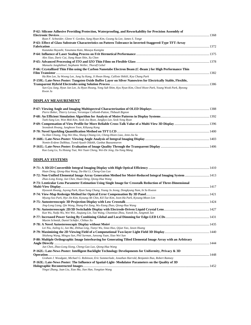| P-62: Silicone Adhesive Providing Protection, Waterproofing, and Reworkability for Precision Assembly of         |      |
|------------------------------------------------------------------------------------------------------------------|------|
|                                                                                                                  |      |
| Ryan F. Schneider, Glenn V. Gordon, Sung Hyun Kim, Gwang Su Lee, James S. Tonge                                  |      |
| P-63: Effect of Glass Substrate Characteristics on Pattern Tolerance in Inverted-Staggered-Type TFT-Array        |      |
|                                                                                                                  | 1372 |
| Kazutaka Hayashi, Yasumasa Kato, Masaya Kunigita                                                                 |      |
|                                                                                                                  |      |
| Alex Xiao, Daric Cui, Jiang Huan Shin, Xu Chen                                                                   |      |
|                                                                                                                  |      |
| Manuela Junghähnel, Stephanie Weller, Thoralf Gebel                                                              |      |
| P-66: Crystallized Thin Film using the Carbon Nanotube Electron Beam (C-Beam) for High Performance Thin          |      |
|                                                                                                                  | 1382 |
| Ha Rim Lee, Su Woong Lee, Jung Su Kang, Ji Hwan Hong, Callixte Shikili, Kyu Chang Park                           |      |
| P-159L: Late-News Poster: Tungsten Oxide Buffer Layer on Silver Nanowires for Electrically Stable, Flexible,     |      |
|                                                                                                                  |      |
| Sun-Gyu Jung, Hyun Jun Lee, Ju Hyun Hwang, Yong Sub Shim, Kyu Nyun Kim, Cheol Hwee Park, Young Wook Park, Byeong |      |
| Kwon Ju                                                                                                          |      |

# **DISPLAY MEASUREMENT**

| Pierre Boher, Thierry Leroux, Veronique Collomb-Patton, Thibault Bignon      |  |
|------------------------------------------------------------------------------|--|
|                                                                              |  |
| Taek-Sung Lee, Won Mok Kim, Seok-Joo Byun, Jangkyo Lee, Seok Yong Byun       |  |
|                                                                              |  |
| Seondeok Hwang, Junghoon Yoon, Kihyung Kang                                  |  |
|                                                                              |  |
| Yu-Han Chiang, Ting-Wei Hsu, Shang-Chiang Lin, Cheng-Hsien Liao, Jenn-Jia Su |  |
|                                                                              |  |
| Nomin-Erdene Dalkhaa, Tsend-Ayush Oldokh, Ganbat Baasantseren                |  |
|                                                                              |  |
| Kuo Lung Lo, Yu Hsiang Tsai, Wei Yuan Cheng, Wei-De Jeng, Ou-Yang Mang       |  |

# **DISPLAY SYSTEMS**

| Huan Deng, Qiong-Hua Wang, Da-Hai Li, Cheng-Gao Luo                                                                                                               |      |
|-------------------------------------------------------------------------------------------------------------------------------------------------------------------|------|
| P-72: Non-Unified Elemental Image Array Generation Method for Moiré-Reduced Integral Imaging System  1413<br>Zhao-Long Xiong, Jun Chen, Huan Deng, Qiong-Hua Wang |      |
| P-73: Lenticular Lens Parameter Estimation Using Single Image for Crosstalk Reduction of Three-Dimensional                                                        |      |
|                                                                                                                                                                   |      |
| Hyoseok Hwang, Juyong Park, Hyun Sung Chang, Young Ju Jeong, Dongkyung Nam, In So Kweon                                                                           |      |
|                                                                                                                                                                   |      |
| Myung-Soo Park, Hye-Jin Kim, Kyoung-Ah Chin, Kil-Tae Kim, Joon-Ha Park, Kyoung-Moon Lim                                                                           |      |
|                                                                                                                                                                   |      |
| Jing-Long Liang, Qin Wang, Shang-Fei Zang, Wu-Xiang Zhao, Qiong-Hua Wang                                                                                          |      |
|                                                                                                                                                                   |      |
| Kun Wu, Naifu Wu, Wei Wei, Jiaqiang Lin, Tao Wang, Chunmiao Zhou, Yunsik Im, Jungmok Jun                                                                          |      |
| Maxim Schmidt, Daniel Schäfer, Chihao Xu                                                                                                                          |      |
|                                                                                                                                                                   |      |
| Lei Niu, Jialing Li, Jun Ma, Zhihua Ling, Tianyi Wu, Sitao Huo, Qijun Yao, Jason Huang                                                                            |      |
| Shizheng Wang, Mingyu Sun, Phil Surman, Junsong Yuan, Xiao Wei Sun                                                                                                |      |
| P-80: Multiple Orthographic Image Interleaving for Generating Tilted Elemental Image Array with an Arbitrary                                                      |      |
|                                                                                                                                                                   | 1444 |
| Jun Chen, Zhao-Long Xiong, Cheng-Gao Luo, Oiong-Hua Wang                                                                                                          |      |
| P-162L: Late-News Poster: Intelligent Backlight Technology Developments for Uniformity, Privacy & 3D                                                              |      |
|                                                                                                                                                                   |      |
| Graham J. Woodgate, Michael G. Robinson, Eric Sommerlade, Jonathan Harrold, Benjamin Ihas, Robert Ramsey                                                          |      |
| P-163L: Late-News Poster: The Influence of Spatial-Light-Modulator Parameters on the Quality of 3D                                                                |      |
|                                                                                                                                                                   | 1452 |
| Yingxi Zhang, Juan Liu, Xiao Ma, Jian Han, Yongtian Wang                                                                                                          |      |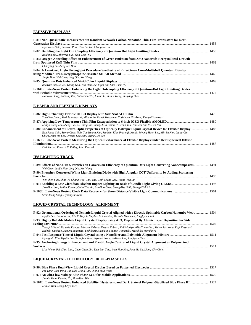# **EMISSIVE DISPLAYS**

| P-81: Non-Quasi Static Measurement in Random Network Carbon Nanotube Thin-Film Transistors for Next-      |      |
|-----------------------------------------------------------------------------------------------------------|------|
|                                                                                                           |      |
| Hyeonwoo Shin, Su-Yeon Park, Tae-Jun Ha, Changhee Lee                                                     |      |
|                                                                                                           |      |
| Ruidong Zhu, Zhenyue Luo, Shin-Tson Wu                                                                    |      |
| P-83: Oxygen Annealing Effect on Enhancement of Green Emission from ZnO Nanorods Recrystallized Growth    |      |
|                                                                                                           | 1462 |
| Chaoyang Li, Shengwen Hou                                                                                 |      |
| P-84: A Low-Cost, High-Throughput Procedure Synthesize of Pure-Green Core-Multishell Quantum Dots by      |      |
|                                                                                                           |      |
| Junjie Hao, Wei Chen, Jing Oin, Kai Wang                                                                  |      |
|                                                                                                           |      |
| Zhenyue Luo, Su Xu, Yating Gao, Yun-Han Lee, Yifan Liu, Shin-Tson Wu                                      |      |
| P-164L: Late-News Poster: Enhancing the Light Outcoupling Efficiency of Quantum-Dot Light Emitting Diodes |      |
|                                                                                                           |      |
| Haowen Liang, Ruidong Zhu, Shin-Tson Wu, Juntao Li, Jiahui Wang, Jianying Zhou                            |      |

# **E-PAPER AND FLEXIBLE DISPLAYS**

| Yasuhiro Jimbo, Yuki Tamatsukuri, Minato Ito, Kohei Yokoyama, Yoshiharu Hirakata, Shunpei Yamazaki                   |      |
|----------------------------------------------------------------------------------------------------------------------|------|
|                                                                                                                      |      |
| Ming-Hsiang Lai, Sheng-Fa Liu, Ching-Yu Huang, Ji-Yi Chiou, Yi-Wen Chiu, Yen-Wei Liu, Yi-Fan Niu                     |      |
| P-88: Enhancement of Electro-Optic Properties of Optically Isotropic Liquid Crystal Device for Flexible Display 1483 |      |
| Eun Jeong Shin, Seong Cheol Noh, Tae Hyung Kim, Jee Hun Kim, Prasenjit Nayek, Myong-Hoon Lee, Min Su Kim, Liang-Chy  |      |
| Chien, Joun Ho Lee, Byeong Koo Kim, Seung Hee Lee                                                                    |      |
| P-165L: Late-News Poster: Measuring the Optical Performance of Flexible Displays under Hemispherical Diffuse         |      |
| <b>Illumination</b>                                                                                                  | 1487 |
| Dirk Hertel, Edward F. Kelley, John Penczek                                                                          |      |

# **IES LIGHTING TRACK**

| P-89: Effects of Nano-TiO <sub>2</sub> Particles on Conversion Efficiency of Quantum Dots Light Converting Nanocomposites 1491 |  |
|--------------------------------------------------------------------------------------------------------------------------------|--|
| Wei Chen, Juniie Hao, Jing Oin, Kai Wang                                                                                       |  |
| P-90: Phosphor Converted White Light Emitting Diode with High Angular CCT Uniformity by Adding Scattering                      |  |
|                                                                                                                                |  |
| Wei-Shen Liao, Shao-Yu Chang, Yao-Chi Peng, Chih-Sheng Jao, Hoang-Yan Lin                                                      |  |
|                                                                                                                                |  |
| Jwo-Huei Jou, Sudhir Kumar, Chih-Chia An, Szu-Hao Chen, Sheng-Hsu Shih, Shang-Chih Lin                                         |  |
|                                                                                                                                |  |
| Seok-Jeong Song, Hyoungsik Nam                                                                                                 |  |

# **LIQUID-CRYSTAL TECHNOLOGY: ALIGNMENT**

| P-92: Orientational Ordering of Nematic Liquid Crystal Aligned with a Directly Spinnable Carbon Nanotube Web 1504                                                                                                                                                                                                                                                     |      |
|-----------------------------------------------------------------------------------------------------------------------------------------------------------------------------------------------------------------------------------------------------------------------------------------------------------------------------------------------------------------------|------|
| Hyojin Lee, Ji-Hoon Lee, Chi P. Huynh, Stephen C. Hawkins, Mustafa Musameh, Jonghyun Choi                                                                                                                                                                                                                                                                             |      |
| P-93: Highly Reliable Mobile Liquid Crystal Display using AIO <sub>y</sub> Deposited By Atomic Layer Deposition for Side                                                                                                                                                                                                                                              |      |
|                                                                                                                                                                                                                                                                                                                                                                       |      |
| Tetsuji Ishitani, Daisuke Kubota, Masaru Nakano, Yusuke Kubota, Koji Moriya, Akio Yamashita, Yujiro Sakurada, Koji Kusunoki,<br>Hideaki Shishido, Kazuya Sugimoto, Yoshiharu Hirakata, Shunpei Yamazaki, Masahiko Hayakawa                                                                                                                                            |      |
|                                                                                                                                                                                                                                                                                                                                                                       |      |
| Hyungmin Kim, Hyojin Lee, Seungbin Yang, Jiyong Hwang, Ji-Hoon Lee, Jonghyun Choi                                                                                                                                                                                                                                                                                     |      |
| P-95: Anchoring Energy Enhancement and Pre-tilt Angle Control of Liquid Crystal Alignment on Polymerized                                                                                                                                                                                                                                                              |      |
| <b>Surfaces Surfaces</b>                                                                                                                                                                                                                                                                                                                                              | 1514 |
| $I: L: W_1, \ldots, P: C L: U_1, \ldots, C L: C L: U_2, \ldots, T: U_2, \ldots, T: U_3, \ldots, T: U_4, \ldots, T: U_5, \ldots, T: U_6, \ldots, C L: C L: U_7, \ldots, C L: U_7, \ldots, C L: U_8, \ldots, C L: U_9, \ldots, C L: U_9, \ldots, C L: U_1, \ldots, U_1, \ldots, U_1, \ldots, U_1, \ldots, U_1, \ldots, U_1, \ldots, U_1, \ldots, U_1, \ldots, U_1, \ld$ |      |

*Libo Weng, Pei-Chun Liao, Chen-Chun Lin, Tien-Lun Ting, Wen-Hao Hsu, Jenn-Jia Su, Liang-Chy Chien* 

# **LIQUID-CRYSTAL TECHNOLOGY: BLUE-PHASE LCS**

| Pei Tang, Jian-Peng Cui, Hao-Xiang Fan, Oiong-Hua Wang                                                             |  |
|--------------------------------------------------------------------------------------------------------------------|--|
|                                                                                                                    |  |
| Jiamin Yuan, Daming Xu, Shin-Tson Wu                                                                               |  |
| P-167L: Late-News Poster: Enhanced Stability, Hysteresis, and Dark State of Polymer-Stabilized Blue Phase III 1524 |  |
| Min Su Kim, Liang-Chy Chien                                                                                        |  |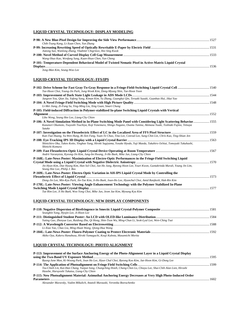# **LIQUID CRYSTAL TECHNOLOGY: DISPLAY MODELING**

| Chih-Tsung Kang, Li-Xuan Chen, Yun Zhang                                                                       |  |
|----------------------------------------------------------------------------------------------------------------|--|
| P-99: Increasing Rewriting Speed of Optically Rewritable E-Paper by Electric Field ……………………………………………………………………… |  |
| Jiatong Sun, Wanlong Zhang, Vladimir Chigrinov, Hoi Sing Kwok                                                  |  |
|                                                                                                                |  |
| Wang-Shuo Kao, Wenfang Sung, Kuan-Hsun Chen, Yun Cheng                                                         |  |
| P-101: Temperature-Dependent Behavioral Model of Twisted Nematic Pixel in Active-Matrix Liquid Crystal         |  |
|                                                                                                                |  |
|                                                                                                                |  |

*Jong-Man Kim, Seung-Woo Lee* 

# **LIQUID-CRYSTAL TECHNOLOGY: FFS/IPS**

| Tae-Hoon Choi, Young-Jin Park, Jung-Wook Kim, Dong-Myung Shin, Tae-Hoon Yoon                                                                            |      |
|---------------------------------------------------------------------------------------------------------------------------------------------------------|------|
|                                                                                                                                                         |      |
| Jaegeon You, Qian Jia, Yafeng Yang, Kiman Kim, Yu Zhang, Guangkui Qin, Teruaki Suzuki, Guanbao Hui, Jikai Yao                                           |      |
|                                                                                                                                                         |      |
| Li-Mei Jiang, Zi-Fang Su, Ying-Ming Liu, Xing Guan, Smart Chung                                                                                         |      |
| P-105: Field-induced Diffraction in Polymer-stabilized In-plane Switching Liquid Crystals with Vertical                                                 |      |
|                                                                                                                                                         |      |
| Libo Weng, Seung Hee Lee, Liang-Chy Chien                                                                                                               |      |
| P-106: A Novel Simulation Method in In-Plane Switching Mode Panel with Considering Light Scattering Behavior 1555                                       |      |
| Kazunori Okumoto, Tsuyoshi Tsuchiya, Koji Yonemura, Shingo Nagano, Osamu Tanina, Akimasa Yuuki, Toshiaki Fujino, Tetsuya<br>Satake                      |      |
|                                                                                                                                                         |      |
| Kun-Tsai Huang, Yu-Wen Hung, Ri-Xen Fang, Yuan-Te Chao, Tina Lee, Conrad Lee, Sung-Chin Lin, Chris Kuo, Ting-Shian Jen                                  |      |
|                                                                                                                                                         |      |
| Shinichiro Oka, Takeo Koito, Yingbao Yang, Hiroki Sugiyama, Yosuke Hyodo, Yuji Maeda, Takahiro Ochiai, Tomoyuki Takahashi,<br>Shinichi Komura           |      |
|                                                                                                                                                         |      |
| Andrii Varanytsia, Kyeong-Jin Kim, Jung-Im Hwang, Ji-Ho Baek, Mike Jun, Liang-Chy Chien                                                                 |      |
| P-168L: Late-News Poster: Maximization of Electro-Optic Performances in the Fringe-Field Switching Liquid                                               |      |
|                                                                                                                                                         |      |
| Jin Hyun Kim, Dae Hyung Kim, Han Sol Choi, Jun Ho Jung, Byeong Hoon Lee, Youri Kwon, Guntakrinda Murali, Young Jin Lim,<br>Seung Hee Lee, Philip J. Bos |      |
| P-169L: Late-News Poster: Electro-Optic Variation in AH-IPS Liquid Crystal Mode by Controlling the                                                      |      |
|                                                                                                                                                         | 1573 |
| Dong-Jin Lee, Min-Kyu Park, Jin-Tae Kim, Ji-Ho Baek, Joun-Ho Lee, Hyunchul Choi, Amid Ranjkesh, Hak-Rin Kim                                             |      |
| P-170L: Late-News Poster: Viewing Angle Enhancement Technology with the Polymer Stabilized In-Plane                                                     |      |
|                                                                                                                                                         |      |
| Tae Rim Lee, Ji Ho Baek, Woo Yong Choi, Mike Jun, Jeom Jae Kim, Myoung Kyu Kim                                                                          |      |
|                                                                                                                                                         |      |

# **LIQUID-CRYSTAL TECHNOLOGY: NEW DISPLAY COMPONENTS**

| Seungbin Yang, Hyojin Lee, Ji-Hoon Lee                                                                   |  |
|----------------------------------------------------------------------------------------------------------|--|
|                                                                                                          |  |
| Yating Gao, Zhenyue Luo, Ruidong Zhu, Oi Hong, Shin-Tson Wu, Ming-Chun Li, Seok-Lyul Lee, Wen-Ching Tsai |  |
|                                                                                                          |  |
| Li-Xiao Yao, Chao Liu, Ming-Huan Wang, Oiong-Hua Wang                                                    |  |
|                                                                                                          |  |
| Akiko Oya, Kakeru Hanabusa, Hiroki Yamaguchi, Kouji Kubota, Masamichi Morita                             |  |
|                                                                                                          |  |

# **LIQUID CRYSTAL TECHNOLOGY: PHOTO ALIGNMENT**

| P-113: Improvement of the Surface Anchoring Energy of the Photo-Alignment Laver in a Liquid Crystal Display                                                        |      |
|--------------------------------------------------------------------------------------------------------------------------------------------------------------------|------|
|                                                                                                                                                                    | 1595 |
| Byung-June Mun, Ki-Woong Park, Joun Ho Lee, Hyun Chul Choi, Byeong Koo Kim, Jae-Hoon Kim, Gi-Dong Lee                                                              |      |
|                                                                                                                                                                    |      |
| Tzu-Chieh Lin, Kai-Han Chang, Yanjun Song, Chungching Hsieh, Chang-Chen Lo, Chiayu Lee, Shui-Chih Alan Lien, Hiroshi<br>Hasebe, Haruvoshi Takatsu, Liang-Chy Chien |      |
| P-115: New Photoalignment Material: Azimuthal Anchoring Energy Decreases at Very High Photo-Induced Order                                                          |      |
| <b>Parameters</b>                                                                                                                                                  | 1602 |
| Alexander Muravsky, Vadim Mikulich, Anatoli Murauski, Veronika Bezruchenko                                                                                         |      |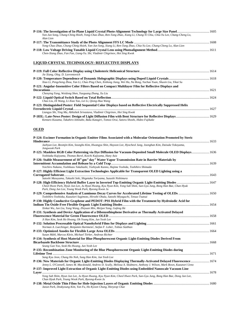| Yan-Jun Song, Chung-Ching Hsieh, Yong-Chao Zhao, Ren-Tang Zhao, Xiang Li, Chung-Yi Chiu, Chia-Yu Lee, Chang-Cheng Lo, |  |
|-----------------------------------------------------------------------------------------------------------------------|--|
| Alan Lien                                                                                                             |  |
|                                                                                                                       |  |
| Yong-Chao Zhao, Chung-Ching Hsieh, Yan-Jun Song, Xiang Li, Ren-Tang Zhao, Chia-Yu Lee, Chang-Cheng Lo, Alan Lien      |  |
|                                                                                                                       |  |
| Chen-Xiang Zhao, Fan Fan, Liang-Yu. Shi, Vladimir Chigrinov, Hoi Sing Kwok                                            |  |

# **LIQUID-CRYSTAL TECHNOLOGY: REFLECTIVE DISPLAYS**

| Jie Xiang, Oleg. D. Lavrentovich                                                                                   |      |
|--------------------------------------------------------------------------------------------------------------------|------|
| Xiao Li, Pengcheng Zhou, Yan Li, Chao Ping Chen, Xinhong Jiang, Wei Hu, Na Rong, Yachao Yuan, Shuxin Liu, Yikai Su |      |
| P-121: Angular-Insensitive Color Filters Based on Compact Multilayer Film for Reflective Displays and              |      |
|                                                                                                                    |      |
| Chenying Yang, Weidong Shen, Yueguang Zhang, Xu Liu                                                                |      |
| Chao Liu, Di Wang, Li-Xiao Yao, Lei Li, Qiong-Hua Wang                                                             | 1624 |
| P-123: Distinguished Poster: Field Sequential Color Displays based on Reflective Electrically Suppressed Helix     |      |
|                                                                                                                    | 1627 |
| Liangyu Shi, Ying Ma, Abhishek Srivastava, Vladimir Chigrinov, Hoi Sing Kwok                                       |      |
| Kentaro Kusama, Takahiro Ishinabe, Baku Katagiri, Tomoo Orui, Satoru Shoshi, Hideo Fujikake                        |      |

# **OLED**

| P-124: Excimer Formation in Organic Emitter Films Associated with a Molecular Orientation Promoted by Steric                                                                                                                                   |  |
|------------------------------------------------------------------------------------------------------------------------------------------------------------------------------------------------------------------------------------------------|--|
| Hinderance                                                                                                                                                                                                                                     |  |
| Jaehyun Lee, Beomjin Kim, Seungho Kim, Hwangyu Shin, Hayoon Lee, Hyocheol Jung, Joonghan Kim, Daisuke Yokoyama,<br>Jongwook Park                                                                                                               |  |
| P-125: Maskless RGB Color Patterning via Dye Diffusion for Vacuum-Deposited Small Molecule OLED Displays 1636<br>Yoshitaka Kajiyama, Thomas Borel, Koichi Kajiyama, Hany Aziz                                                                  |  |
| P-126: Stable Measurement of 10 <sup>-6</sup> gm <sup>-2</sup> day <sup>-1</sup> Water Vapor Transmission Rate in Barrier Materials by                                                                                                         |  |
| Yoichiro Nakano, Yoshikazu Takahashi, Toshiyuki Kanno, Hajime Yoshida, Toshihiro Shimada                                                                                                                                                       |  |
| P-127: Highly Efficient Light Extraction Technologies Applicable for Transparent OLED Lighting using a                                                                                                                                         |  |
|                                                                                                                                                                                                                                                |  |
| Satoshi Masuyama, Takashi Seki, Shigetaka Toriyama, Suzushi Nishimura                                                                                                                                                                          |  |
| Cheol Hwee Park, Hyun Jun Lee, Ju Hyun Hwang, Kyu Nyun Kim, Yong Sub Shim, Sun-Gyu Jung, Bong Han Bae, Chan Hyuk<br>Park, Dong Jun Lee, Young Wook Park, Byeong Kwon Ju                                                                        |  |
|                                                                                                                                                                                                                                                |  |
| Toshihiro Yoshioka, Kazunori Sugimoto, Hiroshi Ohata, Satoshi Miyaguchi, Tetsuo Tsutsui                                                                                                                                                        |  |
| P-130: Highly Conductive Graphene and PEDOT: PSS Hybrid Film with the Treatment by Hydroiodic Acid for                                                                                                                                         |  |
| Xinkai Wu, Jun Liu, Yang Wang, Zhiyuan Min, Meijun Yang, Gufeng He                                                                                                                                                                             |  |
| P-131: Synthesis and Device Application of a Dibenzothiophene Derivative as Thermally Activated Delayed                                                                                                                                        |  |
|                                                                                                                                                                                                                                                |  |
| Ji Han Kim, Seok Ho Hwang, Oh Young Kim, Jun Yeob Lee                                                                                                                                                                                          |  |
|                                                                                                                                                                                                                                                |  |
| Norman A. Luechinger, Benjamin Hartmeier, Stefan F. Loher, Tobias Stubhan                                                                                                                                                                      |  |
|                                                                                                                                                                                                                                                |  |
| Susan Mühl, Marcus Klein, Michael Törker, Andreas Richter                                                                                                                                                                                      |  |
| P-134: Synthesis of Host Material for Blue Phosphorescent Organic Light-Emitting Diodes Derived From                                                                                                                                           |  |
|                                                                                                                                                                                                                                                |  |
| Seung Gun Yoo, Seok Ho Hwang, Jun Yeob Lee                                                                                                                                                                                                     |  |
| P-135: Recombination Zone Monitoring of the Blue Phosphorescent Organic Light-Emitting Diodes during                                                                                                                                           |  |
|                                                                                                                                                                                                                                                |  |
| Sang Kyu Jeon, Chang Ho Noh, Sung Han Kim, Jun Yeob Lee                                                                                                                                                                                        |  |
| P-136: New Materials for Organic Light-Emitting Diodes Displaying Thermally-Activated Delayed Fluorescence  1674<br>Jenny L. O'Connell, James M. Macdonald, Andrew D. Scully, Melissa A. Skidmore, Anthony J. Wilson, Mark Bown, Kazunori Ueno |  |
| P-137: Improved Light Extraction of Organic Light-Emitting Diodes using Embedded Nanoscale Vacuum Line                                                                                                                                         |  |
|                                                                                                                                                                                                                                                |  |
| Yong Sub Shim, Hyun Jun Lee, Ju Hyun Hwang, Kyu Nyun Kim, Cheol Hwee Park, Sun-Gyu Jung, Bong Han Bae, Dong Jun Lee,<br>Chan Hyuk Park, Young Wook Park, Byeong-Kwon Ju                                                                        |  |
| Jaeun Park, Deakyoung Kim, Yan Fu, Ho Kyoon Chung, Heeyeop Chae                                                                                                                                                                                |  |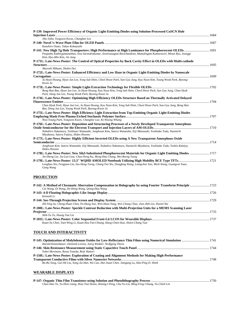| P-139: Improved Power Efficiency of Organic Light-Emitting Diodes using Solution-Processed CuSCN Hole                                                                                                                                                                 |  |
|-----------------------------------------------------------------------------------------------------------------------------------------------------------------------------------------------------------------------------------------------------------------------|--|
| Jiho Sohn, Yongwon Kwon, Changhee Lee                                                                                                                                                                                                                                 |  |
| Kazuhiro Osato, Takao Kobavashi                                                                                                                                                                                                                                       |  |
| Poopathy Kathirgamanathan, Siva Surendrakumar, Seenivasagam Ravichandran, Muttulingam Kumaraverl, Misun Ryu, Jeonggi<br>Kim, Hyo-Min Kim, Jin Jang                                                                                                                    |  |
| P-171L: Late-News Poster: The Control of Optical Properties by Back Cavity Effect in OLEDs with Multi-cathode                                                                                                                                                         |  |
| Akiyoshi Mikami, Shuhei Doi                                                                                                                                                                                                                                           |  |
| P-172L: Late-News Poster: Enhanced Efficiency and Low Haze in Organic Light-Emitting Diodes by Nanoscale                                                                                                                                                              |  |
| Ju Hyun Hwang, Hyun Jun Lee, Yong Sub Shim, Cheol Hwee Park, Sun-Gyu Jung, Kyu Nyun Kim, Young Wook Park, Byeong-<br>Kwon Ju                                                                                                                                          |  |
| Bong Han Bae, Hyun Jun Lee, Ju Hyun Hwang, Kyu Nyun Kim, Yong Sub Shim, Cheol Hwee Park, Sun Gyu Jung, Chan Hyuk<br>Park, Dong Jun Lee, Young Wook Park, Byeong Kwon Ju                                                                                               |  |
| P-174L: Late-News Poster: Optimizing High Efficiency OLEDs Structure Based on Thermally Activated Delayed                                                                                                                                                             |  |
| Chan Hyuk Park, Hyun Jun Lee, Ju Hyun Hwang, Kyu Nyun Kim, Yong Sub Shim, Cheol Hwee Park, Sun-Gyu Jung, Bong Han<br>Bae, Dong Jun Lee, Young Wook Park, Byeong-Kwon Ju                                                                                               |  |
| P-175L: Late-News Poster: High Efficiency Light Extraction from Top-Emitting Organic Light-Emitting Diodes<br>Woo-Young Park, Yongwon Kwon, Changhee Lee, Ki-Woong Whang                                                                                              |  |
| P-176L: Late-News Poster: Deposition and Structuring Processes of a Newly Developed Transparent Amorphous<br>Nobuhiro Nakamura, Toshinari Watanabe, Junghwan Kim, Satoru Watanabe, Eiji Matsuzaki, Yoshitake Toda, Naomichi<br>Miyakawa, Satoru Fujitsu, Hideo Hosono |  |
| P-177L: Late-News Poster: Highly Efficient Inverted OLEDs using A New Transparent Amorphous Oxide                                                                                                                                                                     |  |
| Junghwan Kim, Satoru Watanabe, Eiji Matsuzaki, Nobuhiro Nakamura, Naomichi Miyakawa, Yoshitake Toda, Toshio Kamiya,<br>Hideo Hosono                                                                                                                                   |  |
| Jin-Sheng Lin, Jia-Lun Liou, Chun-Neng Ku, Meng-Hao Chang, Mei-Rurng Tseng                                                                                                                                                                                            |  |
| Longbao Xin, Fengjuan Liu, Szu-Heng Tseng, Chang-Yen Wu, Dongfang Wang, Liangchen Yan, Meili Wang, Guangcai Yuan,<br>Gang Wang                                                                                                                                        |  |

# **PROJECTION**

| P-142: A Method of Chromatic Aberration Compensation in Holography by using Fourier Transform Principle  1723<br>Cui Wang, Di Wang, De-Hong Wang, Oiong-Hua Wang |  |
|------------------------------------------------------------------------------------------------------------------------------------------------------------------|--|
| Kenneth Li                                                                                                                                                       |  |
| Zih-Ying Su, Cheng-Huan Chen, Po-Hung Yao, Wen-Hsun Yang, Wei-Chung Chao, Jian-Jhih Lin, Daniel Wu                                                               |  |
| P-180L: Late-News Poster: Speckle Contrast Reduction with Multi-Projection Units for a MEMS Scanning Laser                                                       |  |
| Shih-Yu Tu, Hoang Yan Lin<br>Kuan-Yu Chen, Yuet-Wing Li, Kuan-Hsu Fan-Chiang, Hung-Chien Kuo, Hsien-Chang Tsai                                                   |  |

# **TOUCH AND INTERACTIVITY**

| Harald Köstenbauer, Dominik Lorenz, Joerg Winkler, Wolfgang Theiss                                 |  |
|----------------------------------------------------------------------------------------------------|--|
|                                                                                                    |  |
| Yuhei Morimoto, Ryota Yoneda, Reiji Hattori                                                        |  |
| P-150L: Late-News Poster: Exploration of Coating and Alignment Methods for Making High-Performance |  |
|                                                                                                    |  |
| Bo-Ru Yang, Gui-Shi Liu, Song-Jia Han, Wu Cao, Hui-Jiuan Chen, Jiangang Lu, Han-Ping D. Shieh      |  |

# **WEARABLE DISPLAYS**

| Chun-Hao Tu, Yu-Hsin Liang, Hsia-Tsai Hsiao, Hsiang-I Peng, Chu-Yu Liu, Ming-Feng Chiang, Yu-Chieh Lin |  |
|--------------------------------------------------------------------------------------------------------|--|
|                                                                                                        |  |